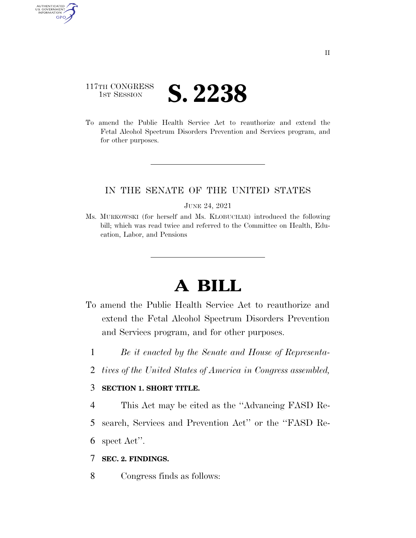## 117TH CONGRESS **IST SESSION S. 2238**

AUTHENTICATE U.S. GOVERNMENT GPO

> To amend the Public Health Service Act to reauthorize and extend the Fetal Alcohol Spectrum Disorders Prevention and Services program, and for other purposes.

### IN THE SENATE OF THE UNITED STATES

JUNE 24, 2021

Ms. MURKOWSKI (for herself and Ms. KLOBUCHAR) introduced the following bill; which was read twice and referred to the Committee on Health, Education, Labor, and Pensions

# **A BILL**

- To amend the Public Health Service Act to reauthorize and extend the Fetal Alcohol Spectrum Disorders Prevention and Services program, and for other purposes.
	- 1 *Be it enacted by the Senate and House of Representa-*
	- 2 *tives of the United States of America in Congress assembled,*

#### 3 **SECTION 1. SHORT TITLE.**

4 This Act may be cited as the ''Advancing FASD Re-

5 search, Services and Prevention Act'' or the ''FASD Re-

6 spect Act''.

#### 7 **SEC. 2. FINDINGS.**

8 Congress finds as follows: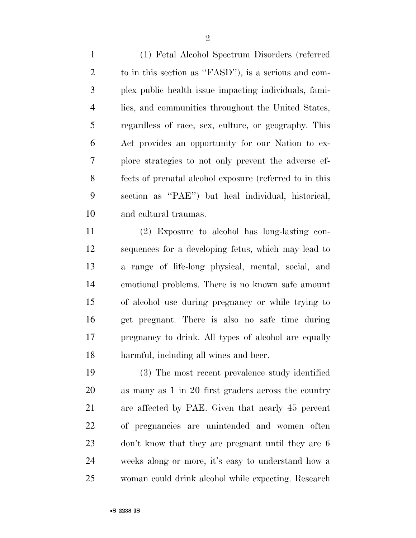(1) Fetal Alcohol Spectrum Disorders (referred to in this section as ''FASD''), is a serious and com- plex public health issue impacting individuals, fami- lies, and communities throughout the United States, regardless of race, sex, culture, or geography. This Act provides an opportunity for our Nation to ex- plore strategies to not only prevent the adverse ef- fects of prenatal alcohol exposure (referred to in this section as ''PAE'') but heal individual, historical, and cultural traumas.

 (2) Exposure to alcohol has long-lasting con- sequences for a developing fetus, which may lead to a range of life-long physical, mental, social, and emotional problems. There is no known safe amount of alcohol use during pregnancy or while trying to get pregnant. There is also no safe time during pregnancy to drink. All types of alcohol are equally harmful, including all wines and beer.

 (3) The most recent prevalence study identified as many as 1 in 20 first graders across the country are affected by PAE. Given that nearly 45 percent of pregnancies are unintended and women often don't know that they are pregnant until they are 6 weeks along or more, it's easy to understand how a woman could drink alcohol while expecting. Research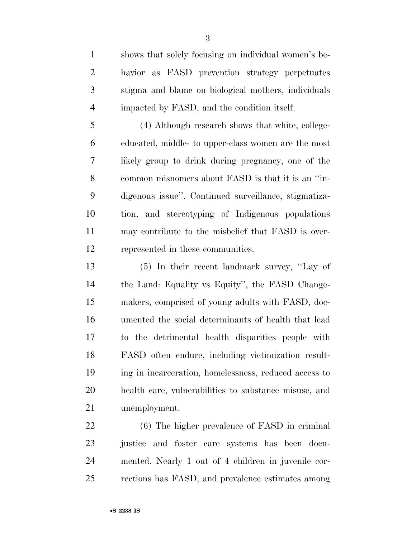shows that solely focusing on individual women's be- havior as FASD prevention strategy perpetuates stigma and blame on biological mothers, individuals impacted by FASD, and the condition itself.

 (4) Although research shows that white, college- educated, middle- to upper-class women are the most likely group to drink during pregnancy, one of the common misnomers about FASD is that it is an ''in- digenous issue''. Continued surveillance, stigmatiza- tion, and stereotyping of Indigenous populations may contribute to the misbelief that FASD is over-represented in these communities.

 (5) In their recent landmark survey, ''Lay of the Land: Equality vs Equity'', the FASD Change- makers, comprised of young adults with FASD, doc- umented the social determinants of health that lead to the detrimental health disparities people with FASD often endure, including victimization result- ing in incarceration, homelessness, reduced access to health care, vulnerabilities to substance misuse, and unemployment.

 (6) The higher prevalence of FASD in criminal justice and foster care systems has been docu- mented. Nearly 1 out of 4 children in juvenile cor-rections has FASD, and prevalence estimates among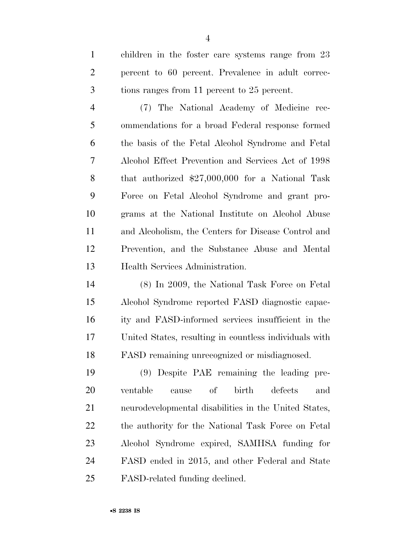children in the foster care systems range from 23 percent to 60 percent. Prevalence in adult correc-tions ranges from 11 percent to 25 percent.

 (7) The National Academy of Medicine rec- ommendations for a broad Federal response formed the basis of the Fetal Alcohol Syndrome and Fetal Alcohol Effect Prevention and Services Act of 1998 that authorized \$27,000,000 for a National Task Force on Fetal Alcohol Syndrome and grant pro- grams at the National Institute on Alcohol Abuse and Alcoholism, the Centers for Disease Control and Prevention, and the Substance Abuse and Mental Health Services Administration.

 (8) In 2009, the National Task Force on Fetal Alcohol Syndrome reported FASD diagnostic capac- ity and FASD-informed services insufficient in the United States, resulting in countless individuals with FASD remaining unrecognized or misdiagnosed.

 (9) Despite PAE remaining the leading pre- ventable cause of birth defects and neurodevelopmental disabilities in the United States, the authority for the National Task Force on Fetal Alcohol Syndrome expired, SAMHSA funding for FASD ended in 2015, and other Federal and State FASD-related funding declined.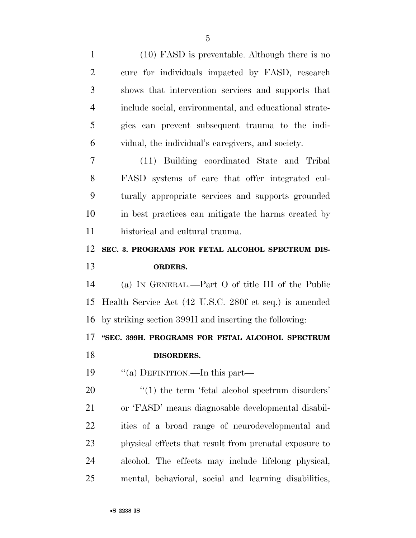(10) FASD is preventable. Although there is no cure for individuals impacted by FASD, research shows that intervention services and supports that include social, environmental, and educational strate- gies can prevent subsequent trauma to the indi- vidual, the individual's caregivers, and society. (11) Building coordinated State and Tribal FASD systems of care that offer integrated cul- turally appropriate services and supports grounded in best practices can mitigate the harms created by historical and cultural trauma. **SEC. 3. PROGRAMS FOR FETAL ALCOHOL SPECTRUM DIS- ORDERS.**  (a) IN GENERAL.—Part O of title III of the Public Health Service Act (42 U.S.C. 280f et seq.) is amended by striking section 399H and inserting the following: **''SEC. 399H. PROGRAMS FOR FETAL ALCOHOL SPECTRUM DISORDERS.**  19 "(a) DEFINITION.—In this part—  $\frac{1}{20}$  (1) the term 'fetal alcohol spectrum disorders' or 'FASD' means diagnosable developmental disabil- ities of a broad range of neurodevelopmental and physical effects that result from prenatal exposure to alcohol. The effects may include lifelong physical, mental, behavioral, social and learning disabilities,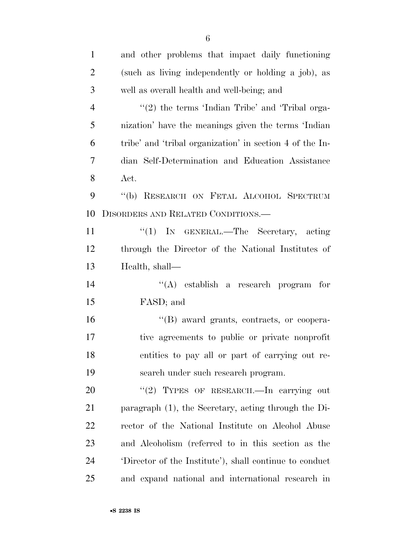| $\mathbf{1}$   | and other problems that impact daily functioning         |
|----------------|----------------------------------------------------------|
| $\overline{2}$ | (such as living independently or holding a job), as      |
| 3              | well as overall health and well-being; and               |
| $\overline{4}$ | "(2) the terms 'Indian Tribe' and 'Tribal orga-          |
| 5              | nization' have the meanings given the terms 'Indian      |
| 6              | tribe' and 'tribal organization' in section 4 of the In- |
| 7              | dian Self-Determination and Education Assistance         |
| 8              | Act.                                                     |
| 9              | "(b) RESEARCH ON FETAL ALCOHOL SPECTRUM                  |
| 10             | DISORDERS AND RELATED CONDITIONS.—                       |
| 11             | " $(1)$ In GENERAL.—The Secretary, acting                |
| 12             | through the Director of the National Institutes of       |
| 13             | Health, shall—                                           |
| 14             | "(A) establish a research program for                    |
| 15             | FASD; and                                                |
| 16             | "(B) award grants, contracts, or coopera-                |
| 17             | tive agreements to public or private nonprofit           |
| 18             | entities to pay all or part of carrying out re-          |
| 19             | search under such research program.                      |
| 20             | "(2) TYPES OF RESEARCH.—In carrying out                  |
| 21             | paragraph (1), the Secretary, acting through the Di-     |
| 22             | rector of the National Institute on Alcohol Abuse        |
| 23             | and Alcoholism (referred to in this section as the       |
| 24             | Director of the Institute'), shall continue to conduct   |
| 25             | and expand national and international research in        |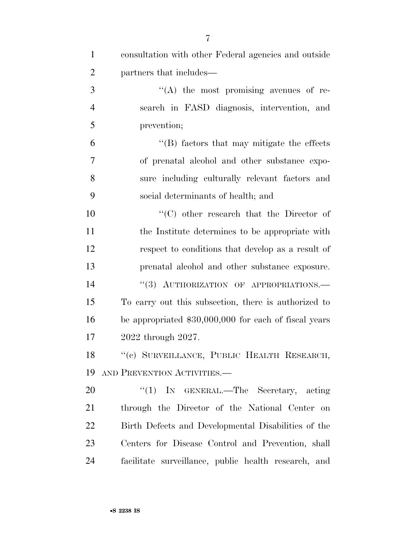| $\mathbf{1}$   | consultation with other Federal agencies and outside  |
|----------------|-------------------------------------------------------|
| $\overline{2}$ | partners that includes—                               |
| 3              | $\lq\lq$ the most promising avenues of re-            |
| $\overline{4}$ | search in FASD diagnosis, intervention, and           |
| 5              | prevention;                                           |
| 6              | $\lq\lq$ factors that may mitigate the effects        |
| $\overline{7}$ | of prenatal alcohol and other substance expo-         |
| 8              | sure including culturally relevant factors and        |
| 9              | social determinants of health; and                    |
| 10             | "(C) other research that the Director of              |
| 11             | the Institute determines to be appropriate with       |
| 12             | respect to conditions that develop as a result of     |
| 13             | prenatal alcohol and other substance exposure.        |
| 14             | "(3) AUTHORIZATION OF APPROPRIATIONS.-                |
| 15             | To carry out this subsection, there is authorized to  |
| 16             | be appropriated \$30,000,000 for each of fiscal years |
| $17\,$         | 2022 through 2027.                                    |
| 18             | "(c) SURVEILLANCE, PUBLIC HEALTH RESEARCH,            |
| 19             | AND PREVENTION ACTIVITIES.                            |
| 20             | "(1) IN GENERAL.—The Secretary, acting                |
| 21             | through the Director of the National Center on        |
| 22             | Birth Defects and Developmental Disabilities of the   |
| 23             | Centers for Disease Control and Prevention, shall     |
| 24             | facilitate surveillance, public health research, and  |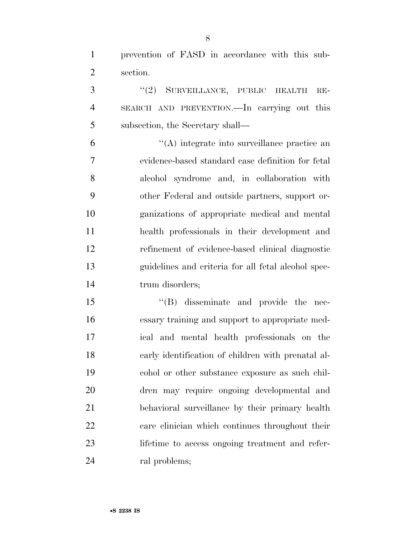prevention of FASD in accordance with this sub-section.

3 "(2) SURVEILLANCE, PUBLIC HEALTH RE- SEARCH AND PREVENTION.—In carrying out this subsection, the Secretary shall—

 ''(A) integrate into surveillance practice an evidence-based standard case definition for fetal alcohol syndrome and, in collaboration with other Federal and outside partners, support or- ganizations of appropriate medical and mental health professionals in their development and refinement of evidence-based clinical diagnostic guidelines and criteria for all fetal alcohol spec-14 trum disorders;

 $\langle$  (B) disseminate and provide the nec- essary training and support to appropriate med- ical and mental health professionals on the early identification of children with prenatal al- cohol or other substance exposure as such chil- dren may require ongoing developmental and behavioral surveillance by their primary health care clinician which continues throughout their lifetime to access ongoing treatment and refer-24 ral problems;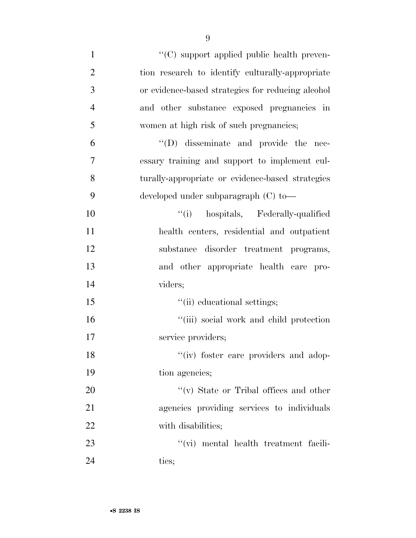| $\mathbf{1}$   | "(C) support applied public health preven-        |
|----------------|---------------------------------------------------|
| $\overline{2}$ | tion research to identify culturally-appropriate  |
| 3              | or evidence-based strategies for reducing alcohol |
| $\overline{4}$ | and other substance exposed pregnancies in        |
| 5              | women at high risk of such pregnancies;           |
| 6              | "(D) disseminate and provide the nec-             |
| 7              | essary training and support to implement cul-     |
| 8              | turally-appropriate or evidence-based strategies  |
| 9              | developed under subparagraph (C) to-              |
| 10             | "(i) hospitals, Federally-qualified               |
| 11             | health centers, residential and outpatient        |
| 12             | substance disorder treatment programs,            |
| 13             | and other appropriate health care pro-            |
| 14             | viders;                                           |
| 15             | "(ii) educational settings;                       |
| 16             | "(iii) social work and child protection           |
| 17             | service providers;                                |
| 18             | "(iv) foster care providers and adop-             |
| 19             | tion agencies;                                    |
| 20             | $``(v)$ State or Tribal offices and other         |
| 21             | agencies providing services to individuals        |
| 22             | with disabilities;                                |
| 23             | "(vi) mental health treatment facili-             |
| 24             | ties;                                             |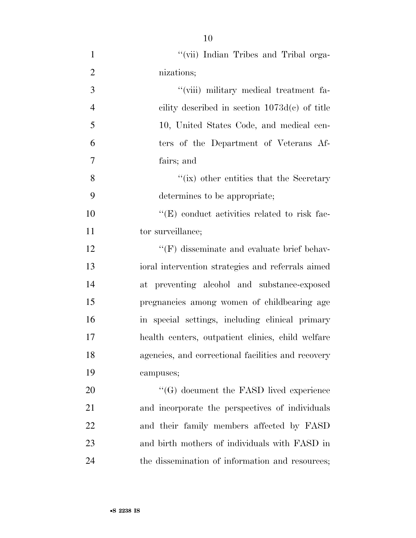| $\mathbf{1}$   | "(vii) Indian Tribes and Tribal orga-                |
|----------------|------------------------------------------------------|
| $\overline{2}$ | nizations;                                           |
| 3              | "(viii) military medical treatment fa-               |
| $\overline{4}$ | cility described in section $1073d(c)$ of title      |
| 5              | 10, United States Code, and medical cen-             |
| 6              | ters of the Department of Veterans Af-               |
| 7              | fairs; and                                           |
| 8              | $f'(ix)$ other entities that the Secretary           |
| 9              | determines to be appropriate;                        |
| 10             | $\lq\lq$ (E) conduct activities related to risk fac- |
| 11             | tor surveillance;                                    |
| 12             | $\lq\lq(F)$ disseminate and evaluate brief behav-    |
| 13             | ioral intervention strategies and referrals aimed    |
| 14             | at preventing alcohol and substance-exposed          |
| 15             | pregnancies among women of childbearing age          |
| 16             | in special settings, including clinical primary      |
| 17             | health centers, outpatient clinics, child welfare    |
| 18             | agencies, and correctional facilities and recovery   |
| 19             | campuses;                                            |
| 20             | $\cdot$ (G) document the FASD lived experience       |
| 21             | and incorporate the perspectives of individuals      |
| 22             | and their family members affected by FASD            |
| 23             | and birth mothers of individuals with FASD in        |
| 24             | the dissemination of information and resources;      |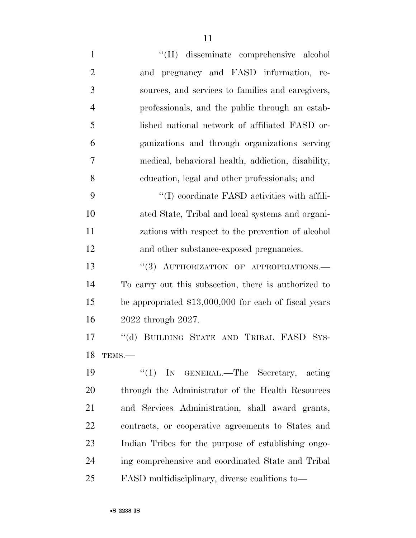''(H) disseminate comprehensive alcohol and pregnancy and FASD information, re- sources, and services to families and caregivers, professionals, and the public through an estab- lished national network of affiliated FASD or- ganizations and through organizations serving medical, behavioral health, addiction, disability, education, legal and other professionals; and  $\cdot$  (I) coordinate FASD activities with affili- ated State, Tribal and local systems and organi- zations with respect to the prevention of alcohol and other substance-exposed pregnancies. 13 "(3) AUTHORIZATION OF APPROPRIATIONS.— To carry out this subsection, there is authorized to be appropriated \$13,000,000 for each of fiscal years 2022 through 2027.

17 "(d) BUILDING STATE AND TRIBAL FASD SYS-TEMS.—

 ''(1) IN GENERAL.—The Secretary, acting through the Administrator of the Health Resources and Services Administration, shall award grants, contracts, or cooperative agreements to States and Indian Tribes for the purpose of establishing ongo- ing comprehensive and coordinated State and Tribal FASD multidisciplinary, diverse coalitions to—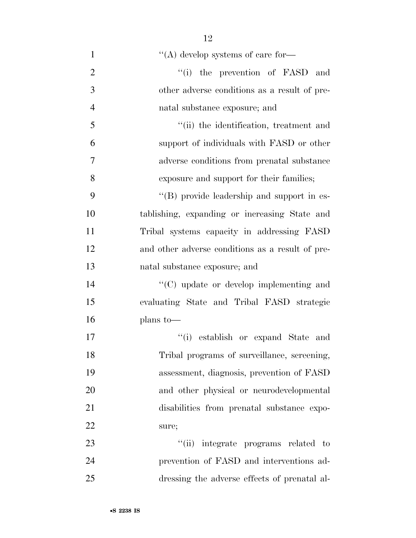| $\mathbf{1}$   | $\lq\lq$ develop systems of care for—            |
|----------------|--------------------------------------------------|
| $\overline{2}$ | "(i) the prevention of FASD and                  |
| 3              | other adverse conditions as a result of pre-     |
| $\overline{4}$ | natal substance exposure; and                    |
| 5              | "(ii) the identification, treatment and          |
| 6              | support of individuals with FASD or other        |
| $\overline{7}$ | adverse conditions from prenatal substance       |
| 8              | exposure and support for their families;         |
| 9              | "(B) provide leadership and support in es-       |
| 10             | tablishing, expanding or increasing State and    |
| 11             | Tribal systems capacity in addressing FASD       |
| 12             | and other adverse conditions as a result of pre- |
| 13             | natal substance exposure; and                    |
| 14             | "(C) update or develop implementing and          |
| 15             | evaluating State and Tribal FASD strategic       |
| 16             | plans to-                                        |
| 17             | "(i) establish or expand State and               |
| 18             | Tribal programs of surveillance, screening,      |
| 19             | assessment, diagnosis, prevention of FASD        |
| 20             | and other physical or neurodevelopmental         |
| 21             | disabilities from prenatal substance expo-       |
| 22             | sure;                                            |
| 23             | integrate programs related to<br>``(ii)          |
| 24             | prevention of FASD and interventions ad-         |
| 25             | dressing the adverse effects of prenatal al-     |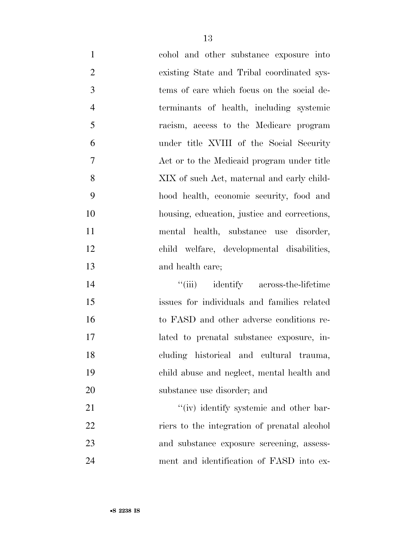cohol and other substance exposure into existing State and Tribal coordinated sys- tems of care which focus on the social de- terminants of health, including systemic racism, access to the Medicare program under title XVIII of the Social Security Act or to the Medicaid program under title XIX of such Act, maternal and early child- hood health, economic security, food and housing, education, justice and corrections, mental health, substance use disorder, child welfare, developmental disabilities, and health care;

 ''(iii) identify across-the-lifetime issues for individuals and families related to FASD and other adverse conditions re- lated to prenatal substance exposure, in- cluding historical and cultural trauma, child abuse and neglect, mental health and substance use disorder; and

21 ''(iv) identify systemic and other bar-22 riers to the integration of prenatal alcohol and substance exposure screening, assess-ment and identification of FASD into ex-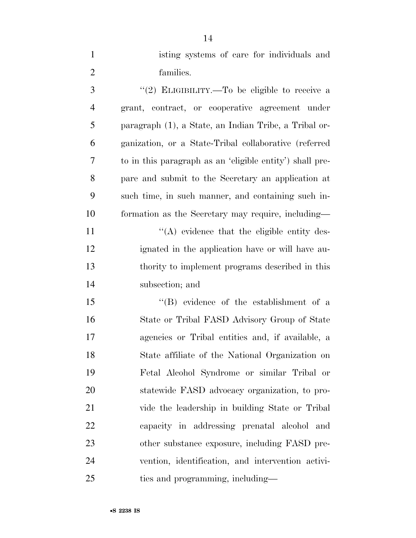| $\mathbf{1}$   | isting systems of care for individuals and               |
|----------------|----------------------------------------------------------|
| $\overline{2}$ | families.                                                |
| 3              | "(2) ELIGIBILITY.—To be eligible to receive a            |
| $\overline{4}$ | grant, contract, or cooperative agreement under          |
| 5              | paragraph (1), a State, an Indian Tribe, a Tribal or-    |
| 6              | ganization, or a State-Tribal collaborative (referred    |
| 7              | to in this paragraph as an 'eligible entity') shall pre- |
| 8              | pare and submit to the Secretary an application at       |
| 9              | such time, in such manner, and containing such in-       |
| 10             | formation as the Secretary may require, including—       |
| 11             | $\lq\lq$ evidence that the eligible entity des-          |
| 12             | ignated in the application have or will have au-         |
| 13             | thority to implement programs described in this          |
| 14             | subsection; and                                          |
| 15             | $\lq\lq$ evidence of the establishment of a              |
| 16             | State or Tribal FASD Advisory Group of State             |
| 17             | agencies or Tribal entities and, if available, a         |
| 18             | State affiliate of the National Organization on          |
| 19             | Fetal Alcohol Syndrome or similar Tribal or              |
| 20             | statewide FASD advocacy organization, to pro-            |
| 21             | vide the leadership in building State or Tribal          |
| 22             | capacity in addressing prenatal alcohol and              |
| 23             | other substance exposure, including FASD pre-            |
| 24             | vention, identification, and intervention activi-        |
| 25             | ties and programming, including—                         |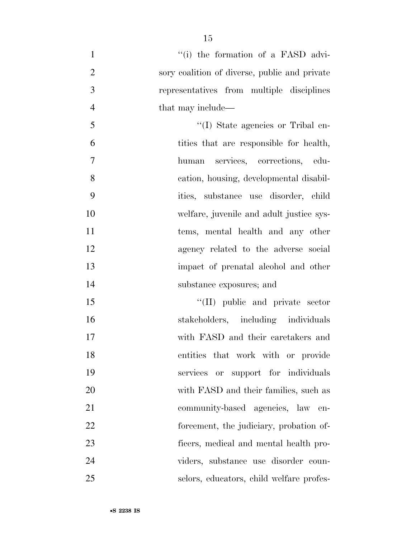| $\mathbf{1}$   | "(i) the formation of a FASD advi-            |
|----------------|-----------------------------------------------|
| $\overline{2}$ | sory coalition of diverse, public and private |
| 3              | representatives from multiple disciplines     |
| $\overline{4}$ | that may include—                             |
| 5              | "(I) State agencies or Tribal en-             |
| 6              | tities that are responsible for health,       |
| 7              | human services, corrections, edu-             |
| 8              | cation, housing, developmental disabil-       |
| 9              | ities, substance use disorder, child          |
| 10             | welfare, juvenile and adult justice sys-      |
| 11             | tems, mental health and any other             |
| 12             | agency related to the adverse social          |
| 13             | impact of prenatal alcohol and other          |
| 14             | substance exposures; and                      |
| 15             | "(II) public and private sector               |
| 16             | stakeholders, including individuals           |
| 17             | with FASD and their caretakers and            |
| 18             | entities that work with or provide            |
| 19             | services or support for individuals           |
| 20             | with FASD and their families, such as         |
| 21             | community-based agencies, law en-             |
| <u>22</u>      | forcement, the judiciary, probation of-       |
| 23             | ficers, medical and mental health pro-        |
| 24             | viders, substance use disorder coun-          |
| 25             | selors, educators, child welfare profes-      |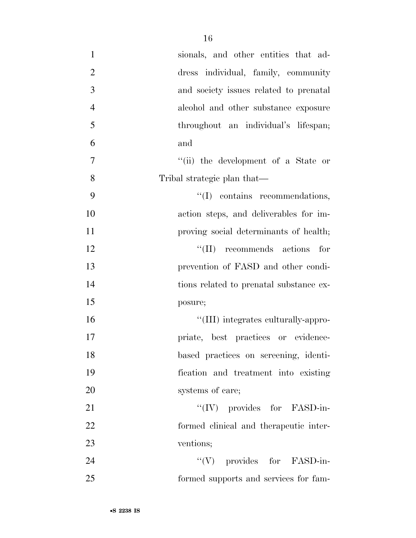| $\mathbf{1}$   | sionals, and other entities that ad-    |
|----------------|-----------------------------------------|
| $\overline{2}$ | dress individual, family, community     |
| 3              | and society issues related to prenatal  |
| $\overline{4}$ | alcohol and other substance exposure    |
| 5              | throughout an individual's lifespan;    |
| 6              | and                                     |
| $\tau$         | "(ii) the development of a State or     |
| 8              | Tribal strategic plan that—             |
| 9              | "(I) contains recommendations,          |
| 10             | action steps, and deliverables for im-  |
| 11             | proving social determinants of health;  |
| 12             | $\lq\lq$ (II) recommends actions<br>for |
| 13             | prevention of FASD and other condi-     |
| 14             | tions related to prenatal substance ex- |
| 15             | posure;                                 |
| 16             | "(III) integrates culturally-appro-     |
| 17             | priate, best practices or evidence-     |
| 18             | based practices on screening, identi-   |
| 19             | fication and treatment into existing    |
| 20             | systems of care;                        |
| 21             | $\lq\lq (IV)$ provides for FASD-in-     |
| 22             | formed clinical and therapeutic inter-  |
| 23             | ventions;                               |
| 24             | $\lq\lq(V)$ provides for FASD-in-       |
| 25             | formed supports and services for fam-   |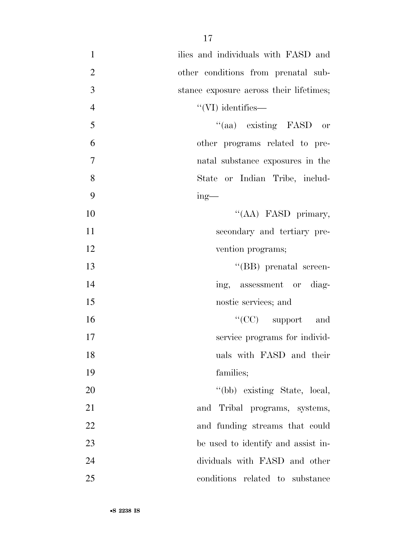| ilies and individuals with FASD and     | $\mathbf{1}$   |
|-----------------------------------------|----------------|
| other conditions from prenatal sub-     | $\overline{2}$ |
| stance exposure across their lifetimes; | 3              |
| $\lq\lq$ (VI) identifies—               | $\overline{4}$ |
| "(aa) existing FASD or                  | 5              |
| other programs related to pre-          | 6              |
| natal substance exposures in the        | 7              |
| State or Indian Tribe, includ-          | 8              |
| $ing$ —                                 | 9              |
| "(AA) FASD primary,                     | 10             |
| secondary and tertiary pre-             | 11             |
| vention programs;                       | 12             |
| "(BB) prenatal screen-                  | 13             |
| ing, assessment or diag-                | 14             |
| nostic services; and                    | 15             |
| $``(CC)$ support and                    | 16             |
| service programs for individ-           | 17             |
| uals with FASD and their                | 18             |
| families;                               | 19             |
| "(bb) existing State, local,            | 20             |
| and Tribal programs, systems,           | 21             |
| and funding streams that could          | 22             |
| be used to identify and assist in-      | 23             |
| dividuals with FASD and other           | 24             |
| conditions related to substance         | 25             |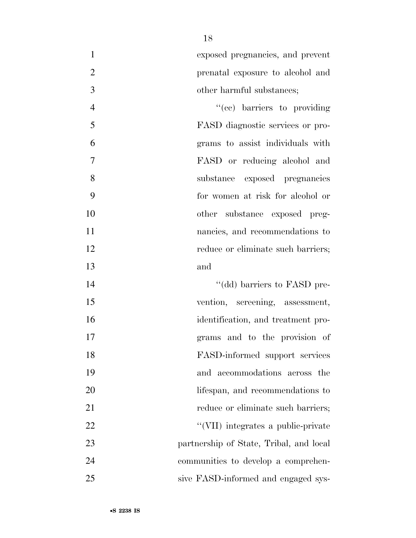exposed pregnancies, and prevent prenatal exposure to alcohol and other harmful substances;

 $"({\rm cc})$  barriers to providing FASD diagnostic services or pro- grams to assist individuals with FASD or reducing alcohol and substance exposed pregnancies for women at risk for alcohol or other substance exposed preg- nancies, and recommendations to 12 reduce or eliminate such barriers; and

 $\text{``(dd)}$  barriers to FASD pre- vention, screening, assessment, identification, and treatment pro- grams and to the provision of FASD-informed support services and accommodations across the 20 lifespan, and recommendations to 21 reduce or eliminate such barriers; 22 ''(VII) integrates a public-private partnership of State, Tribal, and local communities to develop a comprehen-sive FASD-informed and engaged sys-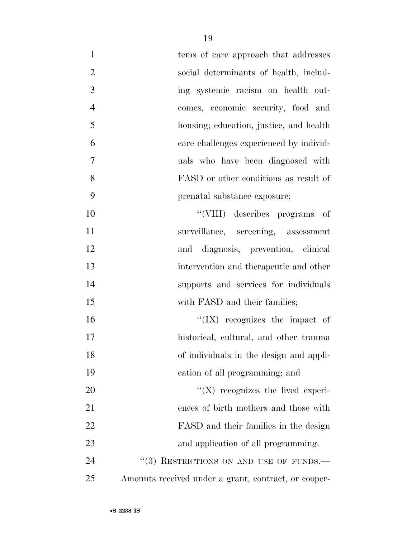| $\mathbf{1}$   | tems of care approach that addresses                 |
|----------------|------------------------------------------------------|
| $\overline{2}$ | social determinants of health, includ-               |
| 3              | ing systemic racism on health out-                   |
| $\overline{4}$ | comes, economic security, food and                   |
| 5              | housing; education, justice, and health              |
| 6              | care challenges experienced by individ-              |
| $\tau$         | uals who have been diagnosed with                    |
| 8              | FASD or other conditions as result of                |
| 9              | prenatal substance exposure;                         |
| 10             | "(VIII) describes programs of                        |
| 11             | surveillance, screening, assessment                  |
| 12             | and diagnosis, prevention, clinical                  |
| 13             | intervention and therapeutic and other               |
| 14             | supports and services for individuals                |
| 15             | with FASD and their families;                        |
| 16             | $\lq\lq$ (IX) recognizes the impact of               |
| 17             | historical, cultural, and other trauma               |
| 18             | of individuals in the design and appli-              |
| 19             | cation of all programming; and                       |
| 20             | $\lq\lq (X)$ recognizes the lived experi-            |
| 21             | ences of birth mothers and those with                |
| 22             | FASD and their families in the design                |
| 23             | and application of all programming.                  |
| 24             | "(3) RESTRICTIONS ON AND USE OF FUNDS.-              |
| 25             | Amounts received under a grant, contract, or cooper- |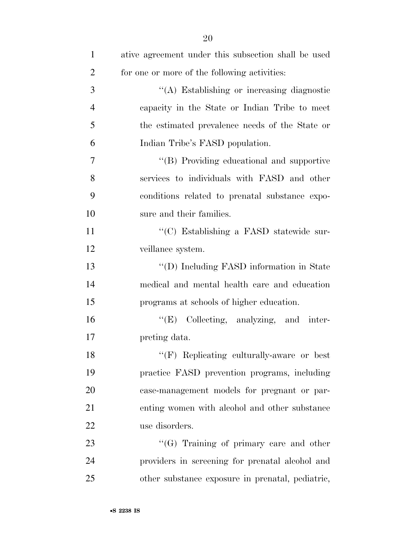| $\mathbf{1}$   | ative agreement under this subsection shall be used |
|----------------|-----------------------------------------------------|
| $\overline{2}$ | for one or more of the following activities:        |
| 3              | "(A) Establishing or increasing diagnostic          |
| $\overline{4}$ | capacity in the State or Indian Tribe to meet       |
| 5              | the estimated prevalence needs of the State or      |
| 6              | Indian Tribe's FASD population.                     |
| 7              | "(B) Providing educational and supportive           |
| 8              | services to individuals with FASD and other         |
| 9              | conditions related to prenatal substance expo-      |
| 10             | sure and their families.                            |
| 11             | "(C) Establishing a FASD statewide sur-             |
| 12             | veillance system.                                   |
| 13             | "(D) Including FASD information in State            |
| 14             | medical and mental health care and education        |
| 15             | programs at schools of higher education.            |
| 16             | "(E) Collecting, analyzing, and inter-              |
| 17             | preting data.                                       |
| 18             | $``$ (F) Replicating culturally-aware or best       |
| 19             | practice FASD prevention programs, including        |
| 20             | case-management models for pregnant or par-         |
| 21             | enting women with alcohol and other substance       |
| 22             | use disorders.                                      |
| 23             | $\lq\lq(G)$ Training of primary care and other      |
| 24             | providers in screening for prenatal alcohol and     |
| 25             | other substance exposure in prenatal, pediatric,    |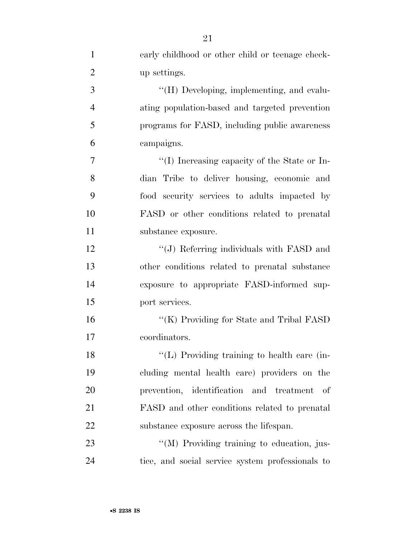| $\mathbf{1}$   | early childhood or other child or teenage check- |
|----------------|--------------------------------------------------|
| $\overline{2}$ | up settings.                                     |
| 3              | "(H) Developing, implementing, and evalu-        |
| $\overline{4}$ | ating population-based and targeted prevention   |
| 5              | programs for FASD, including public awareness    |
| 6              | campaigns.                                       |
| 7              | "(I) Increasing capacity of the State or In-     |
| 8              | dian Tribe to deliver housing, economic and      |
| 9              | food security services to adults impacted by     |
| 10             | FASD or other conditions related to prenatal     |
| 11             | substance exposure.                              |
| 12             | "(J) Referring individuals with FASD and         |
| 13             | other conditions related to prenatal substance   |
| 14             | exposure to appropriate FASD-informed sup-       |
| 15             | port services.                                   |
| 16             | "(K) Providing for State and Tribal FASD         |
| 17             | coordinators.                                    |
| 18             | "(L) Providing training to health care (in-      |
| 19             | cluding mental health care) providers on the     |
| 20             | prevention, identification and treatment of      |
| 21             | FASD and other conditions related to prenatal    |
| 22             | substance exposure across the lifespan.          |
| 23             | "(M) Providing training to education, jus-       |
| 24             | tice, and social service system professionals to |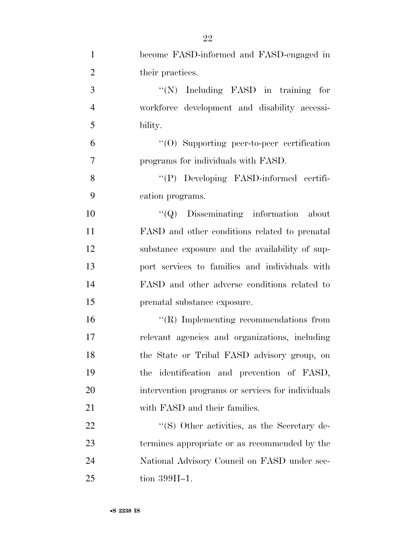| $\mathbf{1}$   | become FASD-informed and FASD-engaged in          |
|----------------|---------------------------------------------------|
| $\overline{2}$ | their practices.                                  |
| 3              | "(N) Including FASD in training for               |
| $\overline{4}$ | workforce development and disability accessi-     |
| 5              | bility.                                           |
| 6              | $\cdot$ (O) Supporting peer-to-peer certification |
| $\overline{7}$ | programs for individuals with FASD.               |
| 8              | "(P) Developing FASD-informed certifi-            |
| 9              | cation programs.                                  |
| 10             | $\lq\lq Q$ Disseminating information about        |
| 11             | FASD and other conditions related to prenatal     |
| 12             | substance exposure and the availability of sup-   |
| 13             | port services to families and individuals with    |
| 14             | FASD and other adverse conditions related to      |
| 15             | prenatal substance exposure.                      |
| 16             | $\lq\lq$ (R) Implementing recommendations from    |
| 17             | relevant agencies and organizations, including    |
| 18             | the State or Tribal FASD advisory group, on       |
| 19             | the identification and prevention of FASD,        |
| 20             | intervention programs or services for individuals |
| 21             | with FASD and their families.                     |
| 22             | "(S) Other activities, as the Secretary de-       |
| 23             | termines appropriate or as recommended by the     |
| 24             | National Advisory Council on FASD under sec-      |
| 25             | tion $399H-1$ .                                   |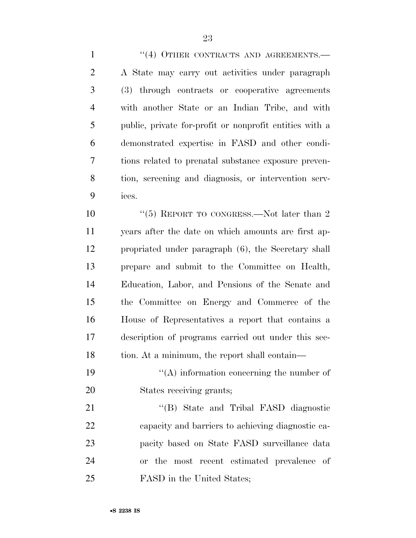1 "(4) OTHER CONTRACTS AND AGREEMENTS.— A State may carry out activities under paragraph (3) through contracts or cooperative agreements with another State or an Indian Tribe, and with public, private for-profit or nonprofit entities with a demonstrated expertise in FASD and other condi- tions related to prenatal substance exposure preven- tion, screening and diagnosis, or intervention serv-ices.

10 ''(5) REPORT TO CONGRESS.—Not later than 2 years after the date on which amounts are first ap- propriated under paragraph (6), the Secretary shall prepare and submit to the Committee on Health, Education, Labor, and Pensions of the Senate and the Committee on Energy and Commerce of the House of Representatives a report that contains a description of programs carried out under this sec-18 tion. At a minimum, the report shall contain—

19  $"({\rm A})$  information concerning the number of States receiving grants;

21 "'(B) State and Tribal FASD diagnostic capacity and barriers to achieving diagnostic ca- pacity based on State FASD surveillance data or the most recent estimated prevalence of FASD in the United States;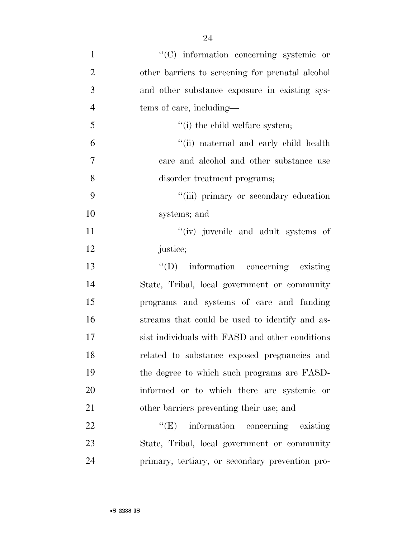| $\mathbf{1}$   | "(C) information concerning systemic or          |
|----------------|--------------------------------------------------|
| $\overline{2}$ | other barriers to screening for prenatal alcohol |
| 3              | and other substance exposure in existing sys-    |
| $\overline{4}$ | tems of care, including—                         |
| 5              | "(i) the child welfare system;                   |
| 6              | "(ii) maternal and early child health            |
| $\overline{7}$ | care and alcohol and other substance use         |
| 8              | disorder treatment programs;                     |
| 9              | "(iii) primary or secondary education            |
| 10             | systems; and                                     |
| 11             | "(iv) juvenile and adult systems of              |
| 12             | justice;                                         |
| 13             | $\lq\lq$ information concerning existing         |
| 14             | State, Tribal, local government or community     |
| 15             | programs and systems of care and funding         |
| 16             | streams that could be used to identify and as-   |
| 17             | sist individuals with FASD and other conditions  |
| 18             | related to substance exposed pregnancies and     |
| 19             | the degree to which such programs are FASD-      |
| 20             | informed or to which there are systemic or       |
| 21             | other barriers preventing their use; and         |
| 22             | ``(E)<br>information concerning existing         |
| 23             | State, Tribal, local government or community     |
| 24             | primary, tertiary, or secondary prevention pro-  |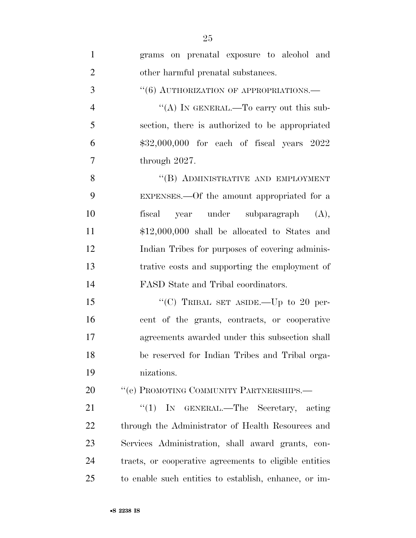| $\mathbf{1}$   | grams on prenatal exposure to alcohol and              |
|----------------|--------------------------------------------------------|
| $\overline{2}$ | other harmful prenatal substances.                     |
| 3              | "(6) AUTHORIZATION OF APPROPRIATIONS.—                 |
| $\overline{4}$ | "(A) IN GENERAL.—To carry out this sub-                |
| 5              | section, there is authorized to be appropriated        |
| 6              | $$32,000,000$ for each of fiscal years $2022$          |
| $\overline{7}$ | through 2027.                                          |
| 8              | "(B) ADMINISTRATIVE AND EMPLOYMENT                     |
| 9              | EXPENSES.—Of the amount appropriated for a             |
| 10             | fiscal<br>year under subparagraph (A),                 |
| 11             | $$12,000,000$ shall be allocated to States and         |
| 12             | Indian Tribes for purposes of covering adminis-        |
| 13             | trative costs and supporting the employment of         |
| 14             | FASD State and Tribal coordinators.                    |
| 15             | "(C) TRIBAL SET ASIDE.—Up to 20 per-                   |
| 16             | cent of the grants, contracts, or cooperative          |
| 17             | agreements awarded under this subsection shall         |
| 18             | be reserved for Indian Tribes and Tribal orga-         |
| 19             | nizations.                                             |
| 20             | "(e) PROMOTING COMMUNITY PARTNERSHIPS.-                |
| 21             | ``(1)<br>IN GENERAL.—The Secretary, acting             |
| 22             | through the Administrator of Health Resources and      |
| 23             | Services Administration, shall award grants, con-      |
| 24             | tracts, or cooperative agreements to eligible entities |
| 25             | to enable such entities to establish, enhance, or im-  |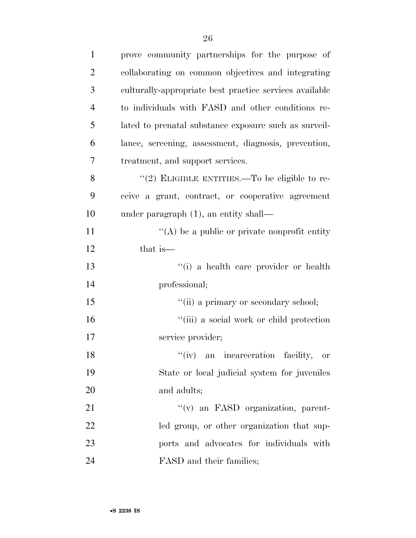| $\mathbf{1}$   | prove community partnerships for the purpose of         |
|----------------|---------------------------------------------------------|
| $\overline{2}$ | collaborating on common objectives and integrating      |
| 3              | culturally-appropriate best practice services available |
| $\overline{4}$ | to individuals with FASD and other conditions re-       |
| 5              | lated to prenatal substance exposure such as surveil-   |
| 6              | lance, screening, assessment, diagnosis, prevention,    |
| 7              | treatment, and support services.                        |
| 8              | "(2) ELIGIBLE ENTITIES.—To be eligible to re-           |
| 9              | ceive a grant, contract, or cooperative agreement       |
| 10             | under paragraph $(1)$ , an entity shall—                |
| 11             | $\lq\lq$ be a public or private nonprofit entity        |
| 12             | that is—                                                |
| 13             | "(i) a health care provider or health                   |
| 14             | professional;                                           |
| 15             | "(ii) a primary or secondary school;                    |
| 16             | "(iii) a social work or child protection                |
| 17             | service provider;                                       |
| 18             | "(iv) an incarceration facility, or                     |
| 19             | State or local judicial system for juveniles            |
| 20             | and adults;                                             |
| 21             | $f'(v)$ an FASD organization, parent-                   |
| 22             | led group, or other organization that sup-              |
| 23             | ports and advocates for individuals with                |
| 24             | FASD and their families;                                |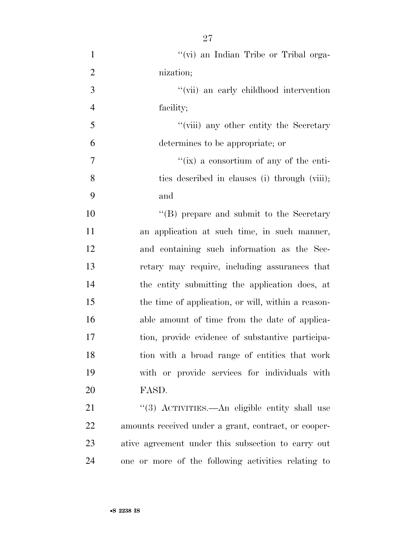| $\mathbf{1}$   | "(vi) an Indian Tribe or Tribal orga-                |
|----------------|------------------------------------------------------|
| $\overline{2}$ | nization;                                            |
| 3              | "(vii) an early childhood intervention               |
| $\overline{4}$ | facility;                                            |
| 5              | "(viii) any other entity the Secretary               |
| 6              | determines to be appropriate; or                     |
| $\overline{7}$ | "(ix) a consortium of any of the enti-               |
| 8              | ties described in clauses (i) through (viii);        |
| 9              | and                                                  |
| 10             | "(B) prepare and submit to the Secretary             |
| 11             | an application at such time, in such manner,         |
| 12             | and containing such information as the Sec-          |
| 13             | retary may require, including assurances that        |
| 14             | the entity submitting the application does, at       |
| 15             | the time of application, or will, within a reason-   |
| 16             | able amount of time from the date of applica-        |
| 17             | tion, provide evidence of substantive participa-     |
| 18             | tion with a broad range of entities that work        |
| 19             | with or provide services for individuals with        |
| 20             | FASD.                                                |
| 21             | "(3) ACTIVITIES.—An eligible entity shall use        |
| 22             | amounts received under a grant, contract, or cooper- |
| 23             | ative agreement under this subsection to carry out   |

one or more of the following activities relating to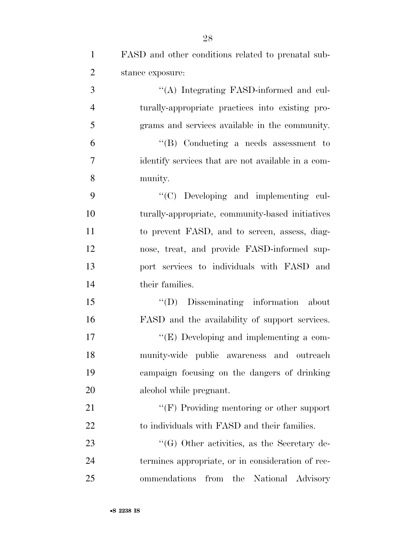| $\mathbf{1}$   | FASD and other conditions related to prenatal sub- |
|----------------|----------------------------------------------------|
| $\overline{2}$ | stance exposure:                                   |
| 3              | "(A) Integrating FASD-informed and cul-            |
| $\overline{4}$ | turally-appropriate practices into existing pro-   |
| 5              | grams and services available in the community.     |
| 6              | $\lq\lq$ Conducting a needs assessment to          |
| $\overline{7}$ | identify services that are not available in a com- |
| 8              | munity.                                            |
| 9              | "(C) Developing and implementing cul-              |
| 10             | turally-appropriate, community-based initiatives   |
| 11             | to prevent FASD, and to screen, assess, diag-      |
| 12             | nose, treat, and provide FASD-informed sup-        |
| 13             | port services to individuals with FASD and         |
| 14             | their families.                                    |
| 15             | $\lq\lq$ (D) Disseminating information<br>about    |
| 16             | FASD and the availability of support services.     |
| 17             | $\lq\lq$ (E) Developing and implementing a com-    |
| 18             | munity-wide public awareness and outreach          |
| 19             | campaign focusing on the dangers of drinking       |
| 20             | alcohol while pregnant.                            |
| 21             | $\lq\lq(F)$ Providing mentoring or other support   |
| 22             | to individuals with FASD and their families.       |
| 23             | $\lq\lq(G)$ Other activities, as the Secretary de- |
| 24             | termines appropriate, or in consideration of rec-  |
| 25             | ommendations<br>from the National Advisory         |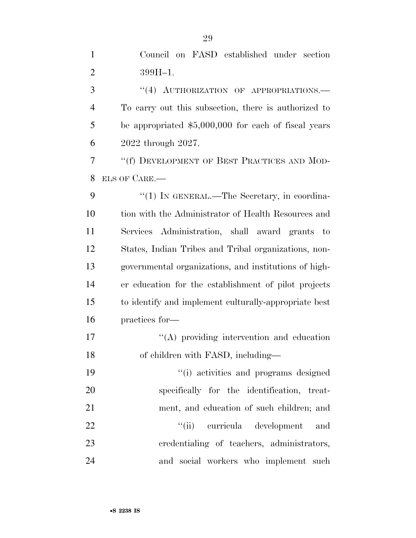| Council on FASD established under section |  |  |
|-------------------------------------------|--|--|
| $399H-1.$                                 |  |  |

3 "(4) AUTHORIZATION OF APPROPRIATIONS. To carry out this subsection, there is authorized to be appropriated \$5,000,000 for each of fiscal years 2022 through 2027.

 ''(f) DEVELOPMENT OF BEST PRACTICES AND MOD-ELS OF CARE.—

9 "(1) IN GENERAL.—The Secretary, in coordina- tion with the Administrator of Health Resources and Services Administration, shall award grants to States, Indian Tribes and Tribal organizations, non- governmental organizations, and institutions of high- er education for the establishment of pilot projects to identify and implement culturally-appropriate best practices for—

17  $\langle (A)$  providing intervention and education 18 of children with FASD, including—

 ''(i) activities and programs designed specifically for the identification, treat- ment, and education of such children; and  $\frac{1}{i}$   $\frac{1}{i}$  curricula development and credentialing of teachers, administrators, and social workers who implement such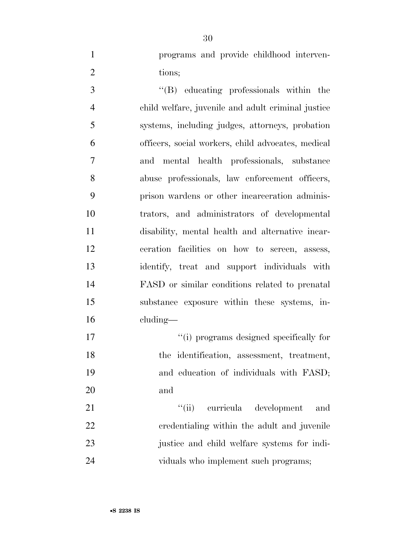programs and provide childhood interven-2 tions;

 ''(B) educating professionals within the child welfare, juvenile and adult criminal justice systems, including judges, attorneys, probation officers, social workers, child advocates, medical and mental health professionals, substance abuse professionals, law enforcement officers, prison wardens or other incarceration adminis- trators, and administrators of developmental disability, mental health and alternative incar- ceration facilities on how to screen, assess, identify, treat and support individuals with FASD or similar conditions related to prenatal substance exposure within these systems, in-cluding—

17  $\frac{1}{2}$   $\frac{1}{2}$  if programs designed specifically for 18 the identification, assessment, treatment, and education of individuals with FASD; and

21 ''(ii) curricula development and credentialing within the adult and juvenile justice and child welfare systems for indi-24 viduals who implement such programs;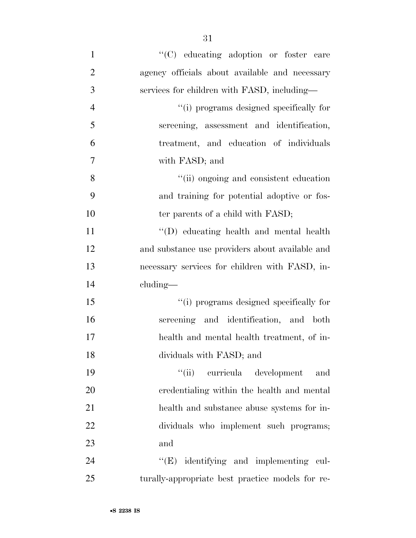$\lq$  (C) educating adoption or foster care agency officials about available and necessary services for children with FASD, including— ''(i) programs designed specifically for screening, assessment and identification, treatment, and education of individuals with FASD; and ''(ii) ongoing and consistent education and training for potential adoptive or fos-10 ter parents of a child with FASD; ''(D) educating health and mental health and substance use providers about available and necessary services for children with FASD, in- cluding— ''(i) programs designed specifically for screening and identification, and both health and mental health treatment, of in- dividuals with FASD; and ''(ii) curricula development and credentialing within the health and mental health and substance abuse systems for in- dividuals who implement such programs; and 24 "(E) identifying and implementing cul-turally-appropriate best practice models for re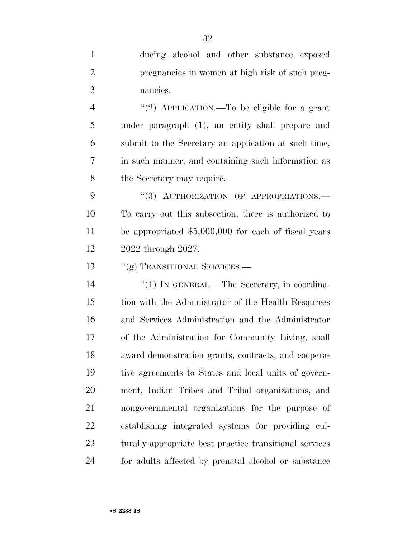ducing alcohol and other substance exposed pregnancies in women at high risk of such preg-nancies.

 ''(2) APPLICATION.—To be eligible for a grant under paragraph (1), an entity shall prepare and submit to the Secretary an application at such time, in such manner, and containing such information as the Secretary may require.

9 "(3) AUTHORIZATION OF APPROPRIATIONS. To carry out this subsection, there is authorized to be appropriated \$5,000,000 for each of fiscal years 2022 through 2027.

13 "(g) TRANSITIONAL SERVICES.—

14 "(1) IN GENERAL.—The Secretary, in coordina- tion with the Administrator of the Health Resources and Services Administration and the Administrator of the Administration for Community Living, shall award demonstration grants, contracts, and coopera- tive agreements to States and local units of govern- ment, Indian Tribes and Tribal organizations, and nongovernmental organizations for the purpose of establishing integrated systems for providing cul- turally-appropriate best practice transitional services for adults affected by prenatal alcohol or substance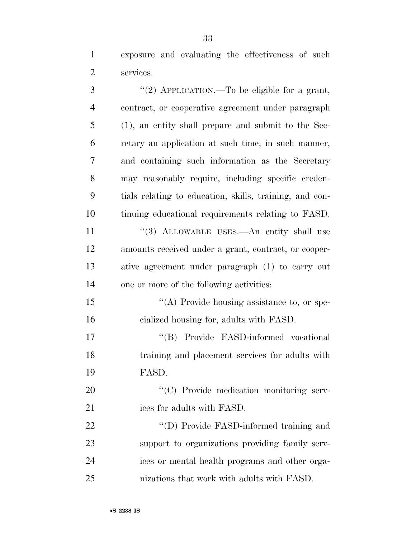exposure and evaluating the effectiveness of such services.

| 3              | "(2) APPLICATION.—To be eligible for a grant,           |
|----------------|---------------------------------------------------------|
| $\overline{4}$ | contract, or cooperative agreement under paragraph      |
| 5              | $(1)$ , an entity shall prepare and submit to the Sec-  |
| 6              | retary an application at such time, in such manner,     |
| 7              | and containing such information as the Secretary        |
| 8              | may reasonably require, including specific creden-      |
| 9              | tials relating to education, skills, training, and con- |
| 10             | tinuing educational requirements relating to FASD.      |
| 11             | "(3) ALLOWABLE USES.—An entity shall use                |
| 12             | amounts received under a grant, contract, or cooper-    |
| 13             | ative agreement under paragraph (1) to carry out        |
| 14             | one or more of the following activities:                |
| 15             | "(A) Provide housing assistance to, or spe-             |
| 16             | cialized housing for, adults with FASD.                 |
| 17             | "(B) Provide FASD-informed vocational                   |
| 18             | training and placement services for adults with         |
| 19             | FASD.                                                   |
| 20             | "(C) Provide medication monitoring serv-                |
| 21             | ices for adults with FASD.                              |
| 22             | "(D) Provide FASD-informed training and                 |
| 23             | support to organizations providing family serv-         |
| 24             | ices or mental health programs and other orga-          |
| 25             | nizations that work with adults with FASD.              |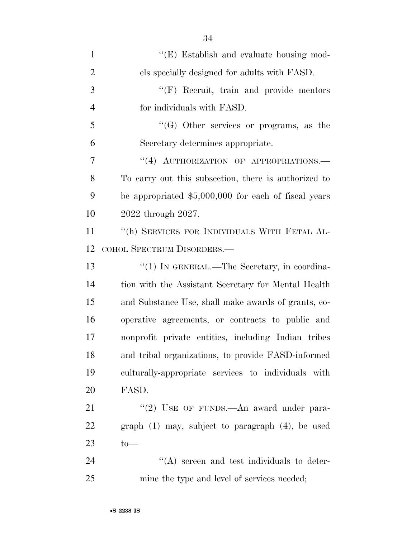| $\mathbf{1}$   | $\lq\lq$ (E) Establish and evaluate housing mod-      |
|----------------|-------------------------------------------------------|
| $\overline{2}$ | els specially designed for adults with FASD.          |
| 3              | $\lq\lq(F)$ Recruit, train and provide mentors        |
| $\overline{4}$ | for individuals with FASD.                            |
| 5              | $\lq\lq (G)$ Other services or programs, as the       |
| 6              | Secretary determines appropriate.                     |
| 7              | "(4) AUTHORIZATION OF APPROPRIATIONS.                 |
| 8              | To carry out this subsection, there is authorized to  |
| 9              | be appropriated $$5,000,000$ for each of fiscal years |
| 10             | 2022 through 2027.                                    |
| 11             | "(h) SERVICES FOR INDIVIDUALS WITH FETAL AL-          |
| 12             | COHOL SPECTRUM DISORDERS.-                            |
| 13             | "(1) IN GENERAL.—The Secretary, in coordina-          |
| 14             | tion with the Assistant Secretary for Mental Health   |
| 15             | and Substance Use, shall make awards of grants, co-   |
| 16             | operative agreements, or contracts to public and      |
| 17             | nonprofit private entities, including Indian tribes   |
| 18             | and tribal organizations, to provide FASD-informed    |
| 19             | culturally-appropriate services to individuals with   |
| 20             | FASD.                                                 |
| 21             | "(2) USE OF FUNDS.—An award under para-               |
| 22             | graph $(1)$ may, subject to paragraph $(4)$ , be used |
| 23             | $to-$                                                 |
| 24             | $\lq\lq$ screen and test individuals to deter-        |
| 25             | mine the type and level of services needed;           |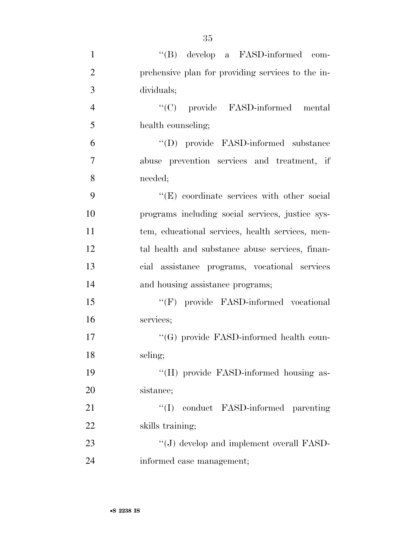| $\mathbf{1}$   | "(B) develop a FASD-informed com-                 |
|----------------|---------------------------------------------------|
| $\overline{2}$ | prehensive plan for providing services to the in- |
| 3              | dividuals;                                        |
| $\overline{4}$ | "(C) provide FASD-informed mental                 |
| 5              | health counseling;                                |
| 6              | "(D) provide FASD-informed substance              |
| 7              | abuse prevention services and treatment, if       |
| 8              | needed;                                           |
| 9              | "(E) coordinate services with other social        |
| 10             | programs including social services, justice sys-  |
| 11             | tem, educational services, health services, men-  |
| 12             | tal health and substance abuse services, finan-   |
| 13             | cial assistance programs, vocational services     |
| 14             | and housing assistance programs;                  |
| 15             | "(F) provide FASD-informed vocational             |
| 16             | services;                                         |
| 17             | "(G) provide FASD-informed health coun-           |
| 18             | seling;                                           |
| 19             | "(H) provide FASD-informed housing as-            |
| 20             | sistance;                                         |
| 21             | conduct FASD-informed parenting<br>``(I)          |
| 22             | skills training;                                  |
| 23             | $\lq\lq(J)$ develop and implement overall FASD-   |
| 24             | informed case management;                         |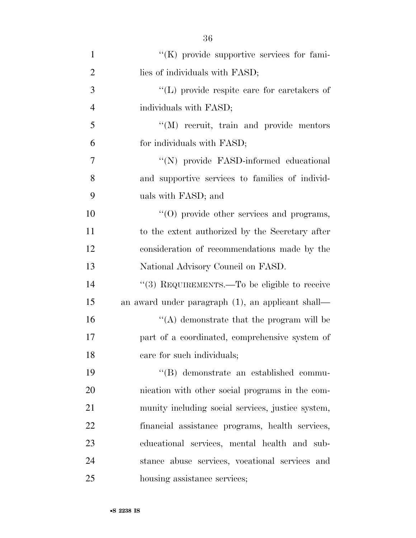| $\mathbf{1}$   | $\lq\lq(K)$ provide supportive services for fami- |
|----------------|---------------------------------------------------|
| $\overline{2}$ | lies of individuals with FASD;                    |
| 3              | "(L) provide respite care for caretakers of       |
| $\overline{4}$ | individuals with FASD;                            |
| 5              | "(M) recruit, train and provide mentors           |
| 6              | for individuals with FASD;                        |
| $\overline{7}$ | "(N) provide FASD-informed educational            |
| 8              | and supportive services to families of individ-   |
| 9              | uals with FASD; and                               |
| 10             | "(O) provide other services and programs,         |
| 11             | to the extent authorized by the Secretary after   |
| 12             | consideration of recommendations made by the      |
| 13             | National Advisory Council on FASD.                |
| 14             | "(3) REQUIREMENTS.—To be eligible to receive      |
| 15             | an award under paragraph (1), an applicant shall— |
| 16             | $\lq\lq$ demonstrate that the program will be     |
| 17             | part of a coordinated, comprehensive system of    |
| 18             | care for such individuals;                        |
| 19             | "(B) demonstrate an established commu-            |
| 20             | nication with other social programs in the com-   |
| 21             | munity including social services, justice system, |
| 22             | financial assistance programs, health services,   |
| 23             | educational services, mental health and sub-      |
| 24             | stance abuse services, vocational services and    |
| 25             | housing assistance services;                      |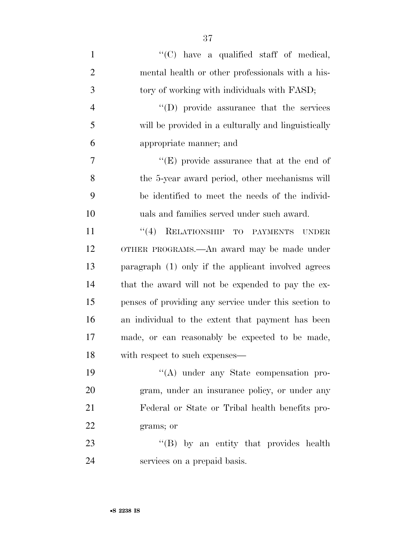| $\mathbf{1}$   | "(C) have a qualified staff of medical,               |
|----------------|-------------------------------------------------------|
| $\overline{2}$ | mental health or other professionals with a his-      |
| $\mathfrak{Z}$ | tory of working with individuals with FASD;           |
| $\overline{4}$ | $\lq\lq$ (D) provide assurance that the services      |
| 5              | will be provided in a culturally and linguistically   |
| 6              | appropriate manner; and                               |
| 7              | "(E) provide assurance that at the end of             |
| 8              | the 5-year award period, other mechanisms will        |
| 9              | be identified to meet the needs of the individ-       |
| 10             | uals and families served under such award.            |
| 11             | "(4) RELATIONSHIP TO PAYMENTS UNDER                   |
| 12             | OTHER PROGRAMS.—An award may be made under            |
| 13             | paragraph (1) only if the applicant involved agrees   |
| 14             | that the award will not be expended to pay the ex-    |
| 15             | penses of providing any service under this section to |
| 16             | an individual to the extent that payment has been     |
| 17             | made, or can reasonably be expected to be made,       |
| 18             | with respect to such expenses—                        |
| 19             | $\lq\lq$ under any State compensation pro-            |
| 20             | gram, under an insurance policy, or under any         |
| 21             | Federal or State or Tribal health benefits pro-       |
| 22             | grams; or                                             |
| 23             | $\lq\lq (B)$ by an entity that provides health        |
| 24             | services on a prepaid basis.                          |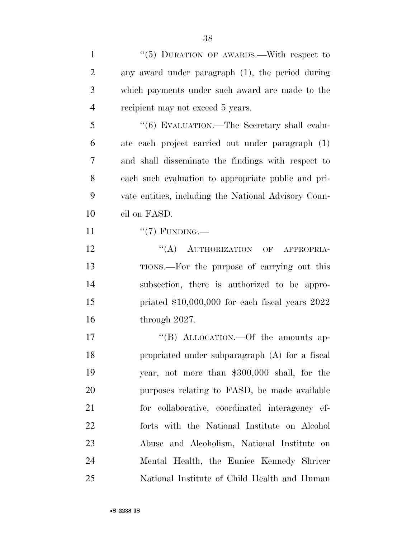| $\mathbf{1}$   | "(5) DURATION OF AWARDS.—With respect to             |
|----------------|------------------------------------------------------|
| $\overline{2}$ | any award under paragraph (1), the period during     |
| 3              | which payments under such award are made to the      |
| $\overline{4}$ | recipient may not exceed 5 years.                    |
| 5              | "(6) EVALUATION.—The Secretary shall evalu-          |
| 6              | ate each project carried out under paragraph (1)     |
| 7              | and shall disseminate the findings with respect to   |
| 8              | each such evaluation to appropriate public and pri-  |
| 9              | vate entities, including the National Advisory Coun- |
| 10             | cil on FASD.                                         |
| 11             | " $(7)$ FUNDING.—                                    |
| 12             | "(A) AUTHORIZATION OF APPROPRIA-                     |
| 13             | TIONS.—For the purpose of carrying out this          |
| 14             | subsection, there is authorized to be appro-         |
| 15             | priated $$10,000,000$ for each fiscal years $2022$   |
| 16             | through 2027.                                        |
| 17             | "(B) ALLOCATION. - Of the amounts ap-                |
| 18             | propriated under subparagraph (A) for a fiscal       |
| 19             | year, not more than \$300,000 shall, for the         |
| 20             | purposes relating to FASD, be made available         |
| 21             | for collaborative, coordinated interagency ef-       |
| 22             | forts with the National Institute on Alcohol         |
| 23             | Abuse and Alcoholism, National Institute on          |
| 24             | Mental Health, the Eunice Kennedy Shriver            |
| 25             | National Institute of Child Health and Human         |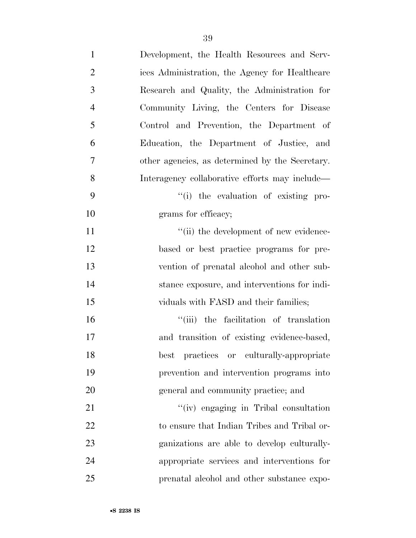| $\mathbf{1}$   | Development, the Health Resources and Serv-     |
|----------------|-------------------------------------------------|
| $\overline{2}$ | ices Administration, the Agency for Healthcare  |
| 3              | Research and Quality, the Administration for    |
| $\overline{4}$ | Community Living, the Centers for Disease       |
| 5              | Control and Prevention, the Department of       |
| 6              | Education, the Department of Justice, and       |
| 7              | other agencies, as determined by the Secretary. |
| 8              | Interagency collaborative efforts may include—  |
| 9              | "(i) the evaluation of existing pro-            |
| 10             | grams for efficacy;                             |
| 11             | "(ii) the development of new evidence-          |
| 12             | based or best practice programs for pre-        |
| 13             | vention of prenatal alcohol and other sub-      |
| 14             | stance exposure, and interventions for indi-    |
| 15             | viduals with FASD and their families;           |
| 16             | "(iii) the facilitation of translation          |
| 17             | and transition of existing evidence-based,      |
| 18             | best practices or culturally-appropriate        |
| 19             | prevention and intervention programs into       |
| 20             | general and community practice; and             |
| 21             | "(iv) engaging in Tribal consultation           |
| 22             | to ensure that Indian Tribes and Tribal or-     |
| 23             | ganizations are able to develop culturally-     |
| 24             | appropriate services and interventions for      |
| 25             | prenatal alcohol and other substance expo-      |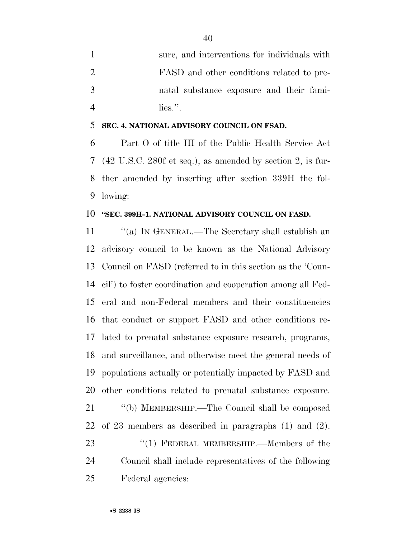|   | sure, and interventions for individuals with |
|---|----------------------------------------------|
|   | FASD and other conditions related to pre-    |
| 3 | natal substance exposure and their fami-     |
|   | $\overline{\text{lies}}$ .                   |

#### **SEC. 4. NATIONAL ADVISORY COUNCIL ON FSAD.**

 Part O of title III of the Public Health Service Act (42 U.S.C. 280f et seq.), as amended by section 2, is fur- ther amended by inserting after section 339H the fol-lowing:

#### **''SEC. 399H–1. NATIONAL ADVISORY COUNCIL ON FASD.**

 ''(a) IN GENERAL.—The Secretary shall establish an advisory council to be known as the National Advisory Council on FASD (referred to in this section as the 'Coun- cil') to foster coordination and cooperation among all Fed- eral and non-Federal members and their constituencies that conduct or support FASD and other conditions re- lated to prenatal substance exposure research, programs, and surveillance, and otherwise meet the general needs of populations actually or potentially impacted by FASD and other conditions related to prenatal substance exposure. ''(b) MEMBERSHIP.—The Council shall be composed of 23 members as described in paragraphs (1) and (2). 23 "(1) FEDERAL MEMBERSHIP.—Members of the Council shall include representatives of the following Federal agencies: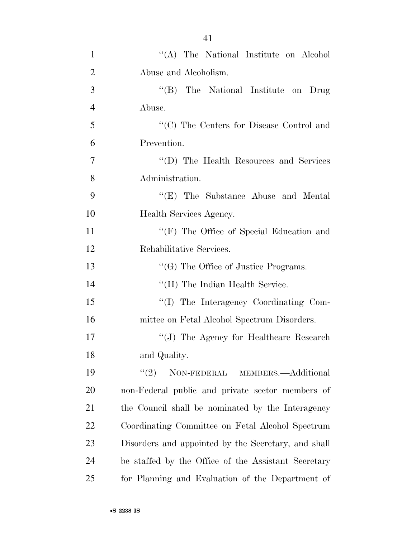| $\mathbf{1}$   | "(A) The National Institute on Alcohol              |
|----------------|-----------------------------------------------------|
| $\overline{2}$ | Abuse and Alcoholism.                               |
| 3              | "(B) The National Institute on Drug                 |
| $\overline{4}$ | Abuse.                                              |
| 5              | "(C) The Centers for Disease Control and            |
| 6              | Prevention.                                         |
| 7              | "(D) The Health Resources and Services"             |
| 8              | Administration.                                     |
| 9              | "(E) The Substance Abuse and Mental                 |
| 10             | Health Services Agency.                             |
| 11             | "(F) The Office of Special Education and            |
| 12             | Rehabilitative Services.                            |
| 13             | $\lq\lq(G)$ The Office of Justice Programs.         |
| 14             | "(H) The Indian Health Service.                     |
| 15             | "(I) The Interagency Coordinating Com-              |
| 16             | mittee on Fetal Alcohol Spectrum Disorders.         |
| 17             | "(J) The Agency for Healthcare Research             |
| 18             | and Quality.                                        |
| 19             | "(2) NON-FEDERAL MEMBERS.—Additional                |
| 20             | non-Federal public and private sector members of    |
| 21             | the Council shall be nominated by the Interagency   |
| 22             | Coordinating Committee on Fetal Alcohol Spectrum    |
| 23             | Disorders and appointed by the Secretary, and shall |
| 24             | be staffed by the Office of the Assistant Secretary |
| 25             | for Planning and Evaluation of the Department of    |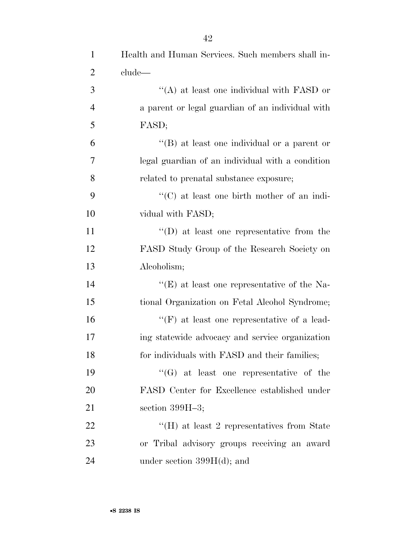| $\mathbf{1}$   | Health and Human Services. Such members shall in-  |
|----------------|----------------------------------------------------|
| $\overline{2}$ | clude—                                             |
| 3              | $\cdot$ (A) at least one individual with FASD or   |
| $\overline{4}$ | a parent or legal guardian of an individual with   |
| 5              | FASD;                                              |
| 6              | $\lq\lq$ at least one individual or a parent or    |
| 7              | legal guardian of an individual with a condition   |
| 8              | related to prenatal substance exposure;            |
| 9              | $\cdot$ (C) at least one birth mother of an indi-  |
| 10             | vidual with FASD;                                  |
| 11             | $\lq\lq$ (D) at least one representative from the  |
| 12             | FASD Study Group of the Research Society on        |
| 13             | Alcoholism;                                        |
| 14             | "(E) at least one representative of the Na-        |
| 15             | tional Organization on Fetal Alcohol Syndrome;     |
| 16             | $\lq\lq(F)$ at least one representative of a lead- |
| 17             | ing statewide advocacy and service organization    |
| 18             | for individuals with FASD and their families;      |
| 19             | $\lq\lq(G)$ at least one representative of the     |
| 20             | FASD Center for Excellence established under       |
| 21             | section $399H-3$ ;                                 |
| 22             | $H(H)$ at least 2 representatives from State       |
| 23             | or Tribal advisory groups receiving an award       |
| 24             | under section $399H(d)$ ; and                      |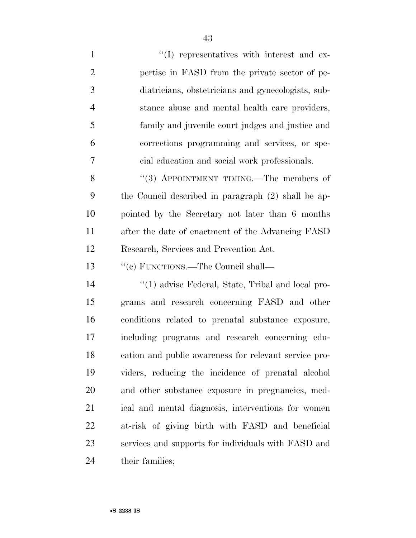| $\mathbf{1}$   | $\lq\lq$ representatives with interest and ex-        |
|----------------|-------------------------------------------------------|
| $\overline{2}$ | pertise in FASD from the private sector of pe-        |
| 3              | diatricians, obstetricians and gynecologists, sub-    |
| $\overline{4}$ | stance abuse and mental health care providers,        |
| 5              | family and juvenile court judges and justice and      |
| 6              | corrections programming and services, or spe-         |
| 7              | cial education and social work professionals.         |
| 8              | "(3) APPOINTMENT TIMING.—The members of               |
| 9              | the Council described in paragraph (2) shall be ap-   |
| 10             | pointed by the Secretary not later than 6 months      |
| 11             | after the date of enactment of the Advancing FASD     |
| 12             | Research, Services and Prevention Act.                |
| 13             | "(c) FUNCTIONS.—The Council shall—                    |
| 14             | $\lq(1)$ advise Federal, State, Tribal and local pro- |
| 15             | grams and research concerning FASD and other          |
| 16             | conditions related to prenatal substance exposure,    |
| 17             | including programs and research concerning edu-       |
| 18             | cation and public awareness for relevant service pro- |
| 19             | viders, reducing the incidence of prenatal alcohol    |
| 20             | and other substance exposure in pregnancies, med-     |
| 21             | ical and mental diagnosis, interventions for women    |
| 22             | at-risk of giving birth with FASD and beneficial      |
| 23             | services and supports for individuals with FASD and   |
| 24             | their families;                                       |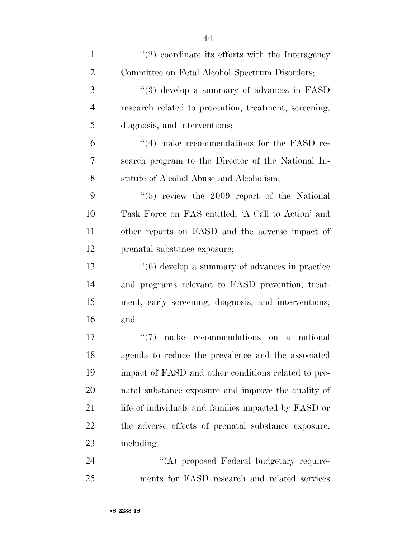| $\mathbf{1}$   | $\lq(2)$ coordinate its efforts with the Interagency             |
|----------------|------------------------------------------------------------------|
| $\overline{2}$ | Committee on Fetal Alcohol Spectrum Disorders;                   |
| 3              | "(3) develop a summary of advances in FASD                       |
| $\overline{4}$ | research related to prevention, treatment, screening,            |
| 5              | diagnosis, and interventions;                                    |
| 6              | $\cdot$ (4) make recommendations for the FASD re-                |
| 7              | search program to the Director of the National In-               |
| 8              | stitute of Alcohol Abuse and Alcoholism;                         |
| 9              | $(5)$ review the 2009 report of the National                     |
| 10             | Task Force on FAS entitled, 'A Call to Action' and               |
| 11             | other reports on FASD and the adverse impact of                  |
| 12             | prenatal substance exposure;                                     |
| 13             | $"(6)$ develop a summary of advances in practice                 |
| 14             | and programs relevant to FASD prevention, treat-                 |
| 15             | ment, early screening, diagnosis, and interventions;             |
| 16             | and                                                              |
| 17             | (4(7))<br>make<br>recommendations on<br>national<br>$\mathbf{a}$ |
| 18             | agenda to reduce the prevalence and the associated               |
| 19             | impact of FASD and other conditions related to pre-              |
| 20             | natal substance exposure and improve the quality of              |
| 21             | life of individuals and families impacted by FASD or             |
| 22             | the adverse effects of prenatal substance exposure,              |
| 23             | including—                                                       |
| 24             | "(A) proposed Federal budgetary require-                         |
| 25             | ments for FASD research and related services                     |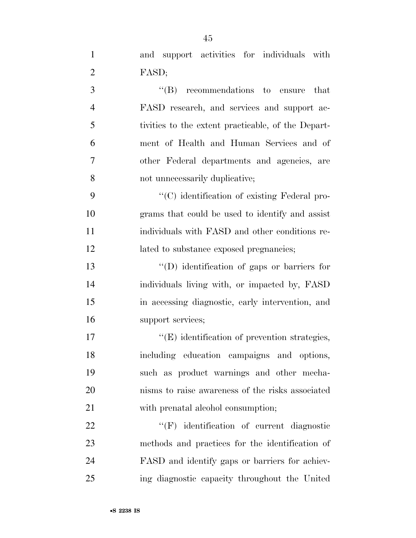and support activities for individuals with FASD;

3 ''(B) recommendations to ensure that FASD research, and services and support ac- tivities to the extent practicable, of the Depart- ment of Health and Human Services and of other Federal departments and agencies, are not unnecessarily duplicative;

 $\langle ^{\prime}(C) \rangle$  identification of existing Federal pro- grams that could be used to identify and assist individuals with FASD and other conditions re-12 lated to substance exposed pregnancies;

 ''(D) identification of gaps or barriers for individuals living with, or impacted by, FASD in accessing diagnostic, early intervention, and support services;

 $\langle (E) \rangle$  identification of prevention strategies, including education campaigns and options, such as product warnings and other mecha- nisms to raise awareness of the risks associated 21 with prenatal alcohol consumption;

 $\text{``(F)}$  identification of current diagnostic methods and practices for the identification of FASD and identify gaps or barriers for achiev-ing diagnostic capacity throughout the United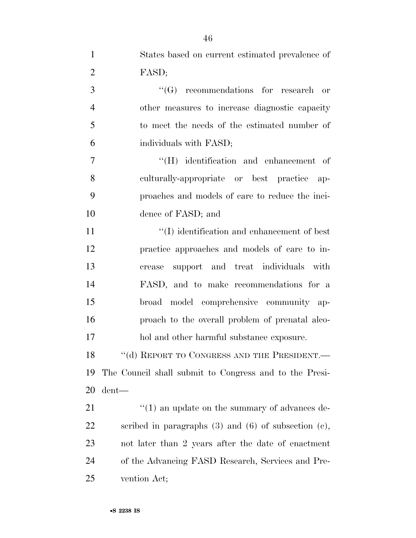| $\mathbf{1}$   | States based on current estimated prevalence of             |
|----------------|-------------------------------------------------------------|
| $\overline{2}$ | FASD;                                                       |
| 3              | $\lq\lq(G)$ recommendations for research or                 |
| $\overline{4}$ | other measures to increase diagnostic capacity              |
| 5              | to meet the needs of the estimated number of                |
| 6              | individuals with FASD;                                      |
| 7              | $\lq\lq(H)$ identification and enhancement of               |
| 8              | culturally-appropriate or best practice ap-                 |
| 9              | proaches and models of care to reduce the inci-             |
| 10             | dence of FASD; and                                          |
| 11             | $\lq\lq$ identification and enhancement of best             |
| 12             | practice approaches and models of care to in-               |
| 13             | support and treat individuals with<br>crease                |
| 14             | FASD, and to make recommendations for a                     |
| 15             | broad model comprehensive community ap-                     |
| 16             | proach to the overall problem of prenatal alco-             |
| 17             | hol and other harmful substance exposure.                   |
| 18             | "(d) REPORT TO CONGRESS AND THE PRESIDENT.—                 |
| 19             | The Council shall submit to Congress and to the Presi-      |
| 20             | $d$ ent—                                                    |
| 21             | $\cdot$ (1) an update on the summary of advances de-        |
| 22             | scribed in paragraphs $(3)$ and $(6)$ of subsection $(e)$ , |
| 23             | not later than 2 years after the date of enactment          |
| 24             | of the Advancing FASD Research, Services and Pre-           |
| 25             | vention Act;                                                |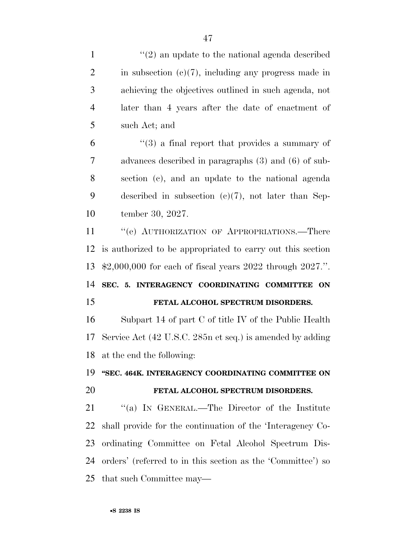achieving the objectives outlined in such agenda, not later than 4 years after the date of enactment of such Act; and

 $(3)$  a final report that provides a summary of advances described in paragraphs (3) and (6) of sub- section (c), and an update to the national agenda described in subsection (c)(7), not later than Sep-tember 30, 2027.

11 " (e) AUTHORIZATION OF APPROPRIATIONS.—There is authorized to be appropriated to carry out this section \$2,000,000 for each of fiscal years 2022 through 2027.''.

 **SEC. 5. INTERAGENCY COORDINATING COMMITTEE ON FETAL ALCOHOL SPECTRUM DISORDERS.** 

 Subpart 14 of part C of title IV of the Public Health Service Act (42 U.S.C. 285n et seq.) is amended by adding at the end the following:

 **''SEC. 464K. INTERAGENCY COORDINATING COMMITTEE ON FETAL ALCOHOL SPECTRUM DISORDERS.** 

21 "(a) IN GENERAL.—The Director of the Institute shall provide for the continuation of the 'Interagency Co- ordinating Committee on Fetal Alcohol Spectrum Dis- orders' (referred to in this section as the 'Committee') so that such Committee may—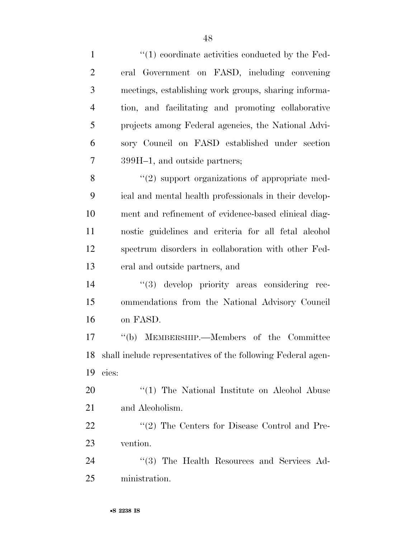| $\mathbf{1}$   | $\lq(1)$ coordinate activities conducted by the Fed-            |
|----------------|-----------------------------------------------------------------|
| $\overline{2}$ | eral Government on FASD, including convening                    |
| 3              | meetings, establishing work groups, sharing informa-            |
| $\overline{4}$ | tion, and facilitating and promoting collaborative              |
| 5              | projects among Federal agencies, the National Advi-             |
| 6              | sory Council on FASD established under section                  |
| $\overline{7}$ | 399H-1, and outside partners;                                   |
| 8              | $\lq(2)$ support organizations of appropriate med-              |
| 9              | ical and mental health professionals in their develop-          |
| 10             | ment and refinement of evidence-based clinical diag-            |
| 11             | nostic guidelines and criteria for all fetal alcohol            |
| 12             | spectrum disorders in collaboration with other Fed-             |
| 13             | eral and outside partners, and                                  |
| 14             | "(3) develop priority areas considering rec-                    |
| 15             | ommendations from the National Advisory Council                 |
| 16             | on FASD.                                                        |
| 17             | "(b) MEMBERSHIP.—Members of the Committee                       |
|                | 18 shall include representatives of the following Federal agen- |
| 19             | cies:                                                           |
| 20             | "(1) The National Institute on Alcohol Abuse                    |
| 21             | and Alcoholism.                                                 |
| 22             | $\lq(2)$ The Centers for Disease Control and Pre-               |
| 23             | vention.                                                        |
| 24             | "(3) The Health Resources and Services Ad-                      |
| 25             | ministration.                                                   |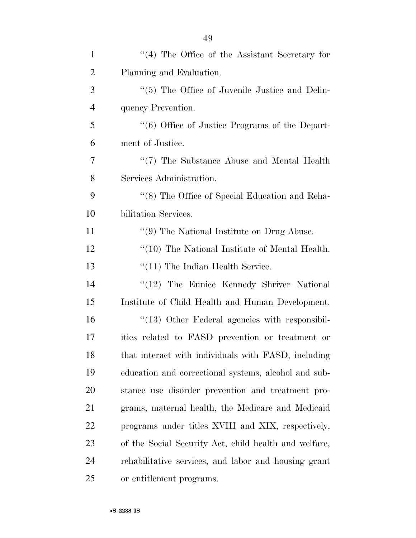| $\mathbf{1}$   | $\lq(4)$ The Office of the Assistant Secretary for              |
|----------------|-----------------------------------------------------------------|
| $\overline{2}$ | Planning and Evaluation.                                        |
| 3              | "(5) The Office of Juvenile Justice and Delin-                  |
| $\overline{4}$ | quency Prevention.                                              |
| 5              | $\cdot\cdot\cdot$ (6) Office of Justice Programs of the Depart- |
| 6              | ment of Justice.                                                |
| 7              | "(7) The Substance Abuse and Mental Health                      |
| 8              | Services Administration.                                        |
| 9              | "(8) The Office of Special Education and Reha-                  |
| 10             | bilitation Services.                                            |
| 11             | $\lq(9)$ The National Institute on Drug Abuse.                  |
| 12             | "(10) The National Institute of Mental Health.                  |
| 13             | $\lq(11)$ The Indian Health Service.                            |
| 14             | "(12) The Eunice Kennedy Shriver National                       |
| 15             | Institute of Child Health and Human Development.                |
| 16             | "(13) Other Federal agencies with responsibil-                  |
| 17             | ities related to FASD prevention or treatment or                |
| 18             | that interact with individuals with FASD, including             |
| 19             | education and correctional systems, alcohol and sub-            |
| 20             | stance use disorder prevention and treatment pro-               |
| 21             | grams, maternal health, the Medicare and Medicaid               |
| 22             | programs under titles XVIII and XIX, respectively,              |
| 23             | of the Social Security Act, child health and welfare,           |
| 24             | rehabilitative services, and labor and housing grant            |
| 25             | or entitlement programs.                                        |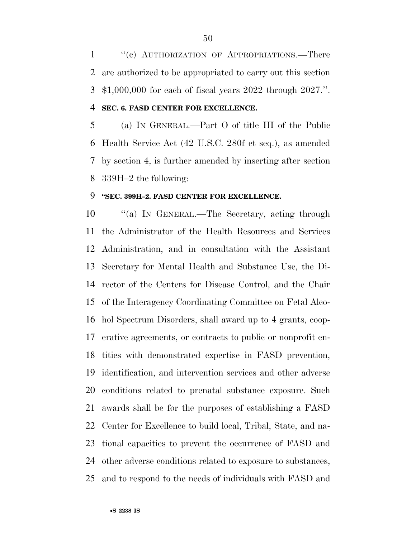1 "(c) AUTHORIZATION OF APPROPRIATIONS.—There are authorized to be appropriated to carry out this section \$1,000,000 for each of fiscal years 2022 through 2027.''. **SEC. 6. FASD CENTER FOR EXCELLENCE.** 

 (a) IN GENERAL.—Part O of title III of the Public Health Service Act (42 U.S.C. 280f et seq.), as amended by section 4, is further amended by inserting after section 339H–2 the following:

#### **''SEC. 399H–2. FASD CENTER FOR EXCELLENCE.**

 ''(a) IN GENERAL.—The Secretary, acting through the Administrator of the Health Resources and Services Administration, and in consultation with the Assistant Secretary for Mental Health and Substance Use, the Di- rector of the Centers for Disease Control, and the Chair of the Interagency Coordinating Committee on Fetal Alco- hol Spectrum Disorders, shall award up to 4 grants, coop- erative agreements, or contracts to public or nonprofit en- tities with demonstrated expertise in FASD prevention, identification, and intervention services and other adverse conditions related to prenatal substance exposure. Such awards shall be for the purposes of establishing a FASD Center for Excellence to build local, Tribal, State, and na- tional capacities to prevent the occurrence of FASD and other adverse conditions related to exposure to substances, and to respond to the needs of individuals with FASD and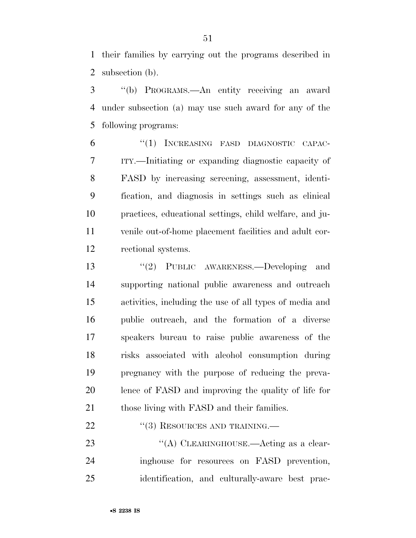their families by carrying out the programs described in subsection (b).

 ''(b) PROGRAMS.—An entity receiving an award under subsection (a) may use such award for any of the following programs:

 ''(1) INCREASING FASD DIAGNOSTIC CAPAC- ITY.—Initiating or expanding diagnostic capacity of FASD by increasing screening, assessment, identi- fication, and diagnosis in settings such as clinical practices, educational settings, child welfare, and ju- venile out-of-home placement facilities and adult cor-rectional systems.

 ''(2) PUBLIC AWARENESS.—Developing and supporting national public awareness and outreach activities, including the use of all types of media and public outreach, and the formation of a diverse speakers bureau to raise public awareness of the risks associated with alcohol consumption during pregnancy with the purpose of reducing the preva- lence of FASD and improving the quality of life for 21 those living with FASD and their families.

22 "(3) RESOURCES AND TRAINING.—

23 "(A) CLEARINGHOUSE.—Acting as a clear- inghouse for resources on FASD prevention, identification, and culturally-aware best prac-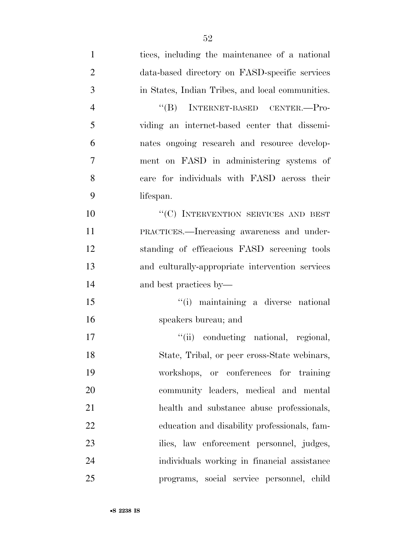| $\mathbf{1}$   | tices, including the maintenance of a national   |
|----------------|--------------------------------------------------|
| $\overline{2}$ | data-based directory on FASD-specific services   |
| 3              | in States, Indian Tribes, and local communities. |
| $\overline{4}$ | INTERNET-BASED CENTER.-Pro-<br>$\lq\lq (B)$      |
| 5              | viding an internet-based center that dissemi-    |
| 6              | nates ongoing research and resource develop-     |
| 7              | ment on FASD in administering systems of         |
| 8              | care for individuals with FASD across their      |
| 9              | lifespan.                                        |
| 10             | "(C) INTERVENTION SERVICES AND BEST              |
| 11             | PRACTICES.—Increasing awareness and under-       |
| 12             | standing of efficacious FASD screening tools     |
| 13             | and culturally-appropriate intervention services |
| 14             | and best practices by—                           |
| 15             | "(i) maintaining a diverse national              |
| 16             | speakers bureau; and                             |
| 17             | "(ii) conducting national, regional,             |
| 18             | State, Tribal, or peer cross-State webinars,     |
| 19             | workshops, or conferences for training           |
| 20             | community leaders, medical and mental            |
| 21             | health and substance abuse professionals,        |
| 22             | education and disability professionals, fam-     |
| 23             | ilies, law enforcement personnel, judges,        |
| 24             | individuals working in financial assistance      |
| 25             | programs, social service personnel, child        |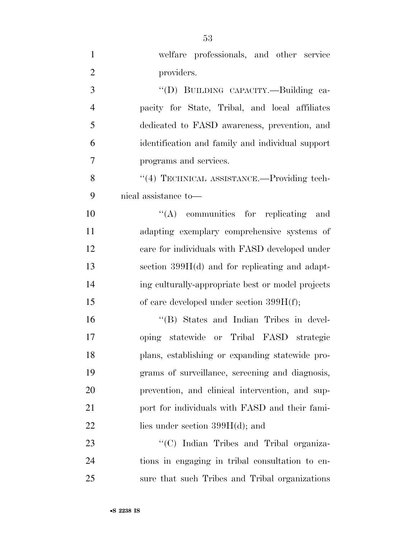| $\mathbf{1}$   | welfare professionals, and other service          |
|----------------|---------------------------------------------------|
| $\overline{2}$ | providers.                                        |
| 3              | "(D) BUILDING CAPACITY .- Building ca-            |
| $\overline{4}$ | pacity for State, Tribal, and local affiliates    |
| 5              | dedicated to FASD awareness, prevention, and      |
| 6              | identification and family and individual support  |
| $\overline{7}$ | programs and services.                            |
| 8              | "(4) TECHNICAL ASSISTANCE.—Providing tech-        |
| 9              | nical assistance to—                              |
| 10             | $\lq\lq$ communities for replicating and          |
| 11             | adapting exemplary comprehensive systems of       |
| 12             | care for individuals with FASD developed under    |
| 13             | section $399H(d)$ and for replicating and adapt-  |
| 14             | ing culturally-appropriate best or model projects |
| 15             | of care developed under section $399H(f)$ ;       |
| 16             | "(B) States and Indian Tribes in devel-           |
| 17             | oping statewide or Tribal FASD strategic          |
| 18             | plans, establishing or expanding statewide pro-   |
| 19             | grams of surveillance, screening and diagnosis,   |
| 20             | prevention, and clinical intervention, and sup-   |
| 21             | port for individuals with FASD and their fami-    |
| 22             | lies under section $399H(d)$ ; and                |
| 23             | "(C) Indian Tribes and Tribal organiza-           |
| 24             | tions in engaging in tribal consultation to en-   |
| 25             | sure that such Tribes and Tribal organizations    |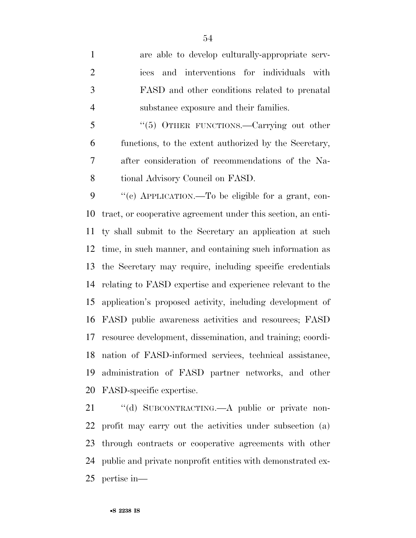are able to develop culturally-appropriate serv- ices and interventions for individuals with FASD and other conditions related to prenatal substance exposure and their families.

5 "(5) OTHER FUNCTIONS.—Carrying out other functions, to the extent authorized by the Secretary, after consideration of recommendations of the Na-tional Advisory Council on FASD.

 ''(c) APPLICATION.—To be eligible for a grant, con- tract, or cooperative agreement under this section, an enti- ty shall submit to the Secretary an application at such time, in such manner, and containing such information as the Secretary may require, including specific credentials relating to FASD expertise and experience relevant to the application's proposed activity, including development of FASD public awareness activities and resources; FASD resource development, dissemination, and training; coordi- nation of FASD-informed services, technical assistance, administration of FASD partner networks, and other FASD-specific expertise.

21 "(d) SUBCONTRACTING.—A public or private non- profit may carry out the activities under subsection (a) through contracts or cooperative agreements with other public and private nonprofit entities with demonstrated ex-pertise in—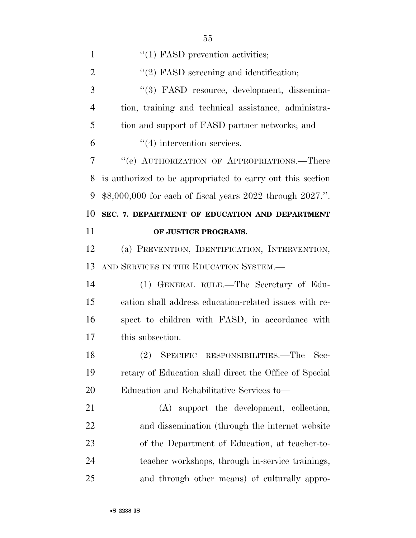| 1              | $\lq(1)$ FASD prevention activities;                       |
|----------------|------------------------------------------------------------|
| $\overline{2}$ | $\lq(2)$ FASD screening and identification;                |
| 3              | "(3) FASD resource, development, dissemina-                |
| $\overline{4}$ | tion, training and technical assistance, administra-       |
| 5              | tion and support of FASD partner networks; and             |
| 6              | $\cdot$ (4) intervention services.                         |
| 7              | "(e) AUTHORIZATION OF APPROPRIATIONS.—There                |
| 8              | is authorized to be appropriated to carry out this section |
| 9              | \$8,000,000 for each of fiscal years 2022 through 2027.".  |
| 10             | SEC. 7. DEPARTMENT OF EDUCATION AND DEPARTMENT             |
| 11             | OF JUSTICE PROGRAMS.                                       |
| 12             | (a) PREVENTION, IDENTIFICATION, INTERVENTION,              |
| 13             | AND SERVICES IN THE EDUCATION SYSTEM.-                     |
| 14             | (1) GENERAL RULE.—The Secretary of Edu-                    |
| 15             | cation shall address education-related issues with re-     |
| 16             | spect to children with FASD, in accordance with            |
| 17             | this subsection.                                           |
| 18             | (2) SPECIFIC RESPONSIBILITIES.—The<br>Sec-                 |
| 19             | retary of Education shall direct the Office of Special     |
| 20             | Education and Rehabilitative Services to-                  |
| 21             | (A) support the development, collection,                   |
| 22             | and dissemination (through the internet website            |
| 23             | of the Department of Education, at teacher-to-             |
| 24             | teacher workshops, through in-service trainings,           |
| 25             | and through other means) of culturally appro-              |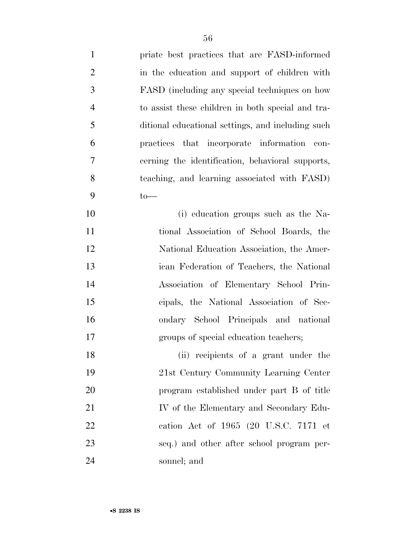| $\mathbf{1}$   | priate best practices that are FASD-informed      |
|----------------|---------------------------------------------------|
| $\overline{2}$ | in the education and support of children with     |
| 3              | FASD (including any special techniques on how     |
| $\overline{4}$ | to assist these children in both special and tra- |
| 5              | ditional educational settings, and including such |
| 6              | practices that incorporate information con-       |
| 7              | cerning the identification, behavioral supports,  |
| 8              | teaching, and learning associated with FASD)      |
| 9              | $to$ —                                            |
| 10             | (i) education groups such as the Na-              |
| 11             | tional Association of School Boards, the          |
| 12             | National Education Association, the Amer-         |
| 13             | ican Federation of Teachers, the National         |
| 14             | Association of Elementary School Prin-            |
| 15             | cipals, the National Association of Sec-          |
| 16             | ondary School Principals and national             |
| 17             | groups of special education teachers;             |
| 18             | (ii) recipients of a grant under the              |
| 19             | 21st Century Community Learning Center            |
| 20             | program established under part B of title         |
| 21             | IV of the Elementary and Secondary Edu-           |
| 22             | cation Act of 1965 (20 U.S.C. 7171 et             |
| 23             | seq.) and other after school program per-         |
| 24             | sonnel; and                                       |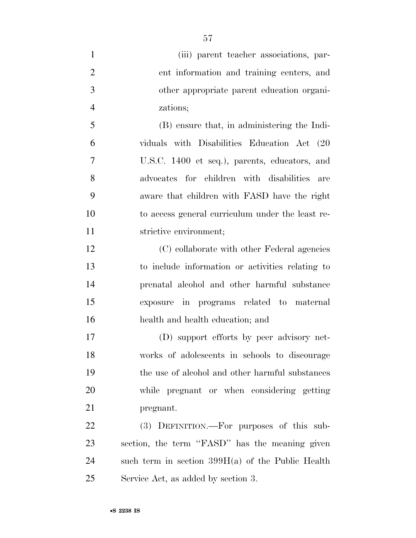| $\mathbf{1}$   | (iii) parent teacher associations, par-          |
|----------------|--------------------------------------------------|
| $\overline{2}$ | ent information and training centers, and        |
| 3              | other appropriate parent education organi-       |
| $\overline{4}$ | zations;                                         |
| 5              | (B) ensure that, in administering the Indi-      |
| 6              | viduals with Disabilities Education Act (20      |
| $\overline{7}$ | U.S.C. 1400 et seq.), parents, educators, and    |
| 8              | advocates for children with disabilities<br>are  |
| 9              | aware that children with FASD have the right     |
| 10             | to access general curriculum under the least re- |
| 11             | strictive environment;                           |
| 12             | (C) collaborate with other Federal agencies      |
| 13             | to include information or activities relating to |
| 14             | prenatal alcohol and other harmful substance     |
| 15             | exposure in programs related to maternal         |
| 16             | health and health education; and                 |
| 17             | (D) support efforts by peer advisory net-        |
| 18             | works of adolescents in schools to discourage    |
| 19             | the use of alcohol and other harmful substances  |
| 20             | while pregnant or when considering getting       |
| 21             | pregnant.                                        |
| 22             | (3) DEFINITION.—For purposes of this sub-        |
|                |                                                  |

 section, the term ''FASD'' has the meaning given such term in section 399H(a) of the Public Health Service Act, as added by section 3.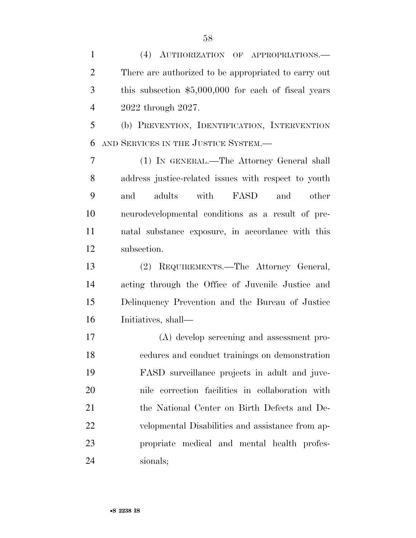(4) AUTHORIZATION OF APPROPRIATIONS.— There are authorized to be appropriated to carry out this subsection \$5,000,000 for each of fiscal years 2022 through 2027.

 (b) PREVENTION, IDENTIFICATION, INTERVENTION AND SERVICES IN THE JUSTICE SYSTEM.—

 (1) IN GENERAL.—The Attorney General shall address justice-related issues with respect to youth and adults with FASD and other neurodevelopmental conditions as a result of pre- natal substance exposure, in accordance with this subsection.

 (2) REQUIREMENTS.—The Attorney General, acting through the Office of Juvenile Justice and Delinquency Prevention and the Bureau of Justice Initiatives, shall—

 (A) develop screening and assessment pro- cedures and conduct trainings on demonstration FASD surveillance projects in adult and juve- nile correction facilities in collaboration with the National Center on Birth Defects and De- velopmental Disabilities and assistance from ap- propriate medical and mental health profes-sionals;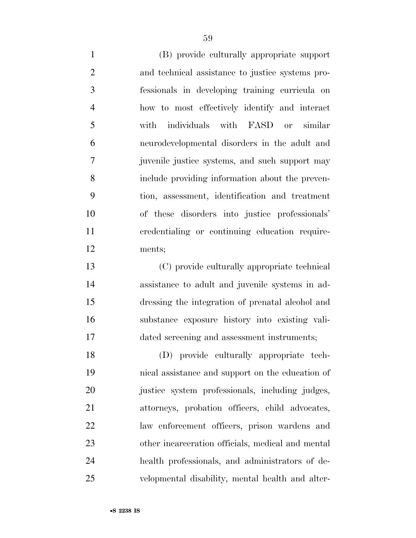(B) provide culturally appropriate support and technical assistance to justice systems pro- fessionals in developing training curricula on how to most effectively identify and interact with individuals with FASD or similar neurodevelopmental disorders in the adult and juvenile justice systems, and such support may include providing information about the preven- tion, assessment, identification and treatment of these disorders into justice professionals' credentialing or continuing education require-ments;

 (C) provide culturally appropriate technical assistance to adult and juvenile systems in ad- dressing the integration of prenatal alcohol and substance exposure history into existing vali-dated screening and assessment instruments;

 (D) provide culturally appropriate tech- nical assistance and support on the education of 20 justice system professionals, including judges, attorneys, probation officers, child advocates, law enforcement officers, prison wardens and other incarceration officials, medical and mental health professionals, and administrators of de-velopmental disability, mental health and alter-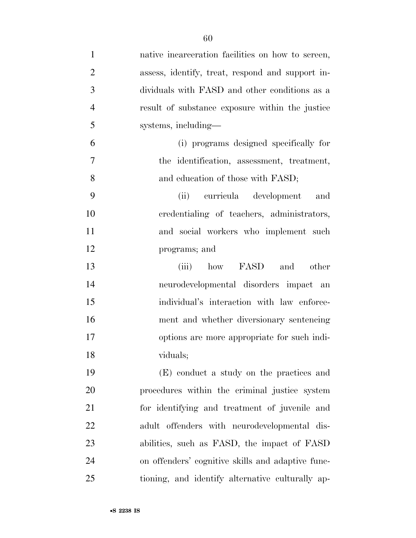| $\mathbf{1}$   | native incarceration facilities on how to screen, |
|----------------|---------------------------------------------------|
| $\overline{2}$ | assess, identify, treat, respond and support in-  |
| 3              | dividuals with FASD and other conditions as a     |
| $\overline{4}$ | result of substance exposure within the justice   |
| 5              | systems, including—                               |
| 6              | (i) programs designed specifically for            |
| 7              | the identification, assessment, treatment,        |
| 8              | and education of those with FASD;                 |
| 9              | curricula development<br>(ii)<br>and              |
| 10             | credentialing of teachers, administrators,        |
| 11             | and social workers who implement such             |
| 12             | programs; and                                     |
| 13             | how FASD<br>other<br>(iii)<br>and                 |
| 14             | neurodevelopmental disorders impact an            |
| 15             | individual's interaction with law enforce-        |
| 16             | ment and whether diversionary sentencing          |
| 17             | options are more appropriate for such indi-       |
| 18             | viduals;                                          |
| 19             | (E) conduct a study on the practices and          |
| 20             | procedures within the criminal justice system     |
| 21             | for identifying and treatment of juvenile and     |
| 22             | adult offenders with neurodevelopmental dis-      |
| 23             | abilities, such as FASD, the impact of FASD       |
| 24             | on offenders' cognitive skills and adaptive func- |
| 25             | tioning, and identify alternative culturally ap-  |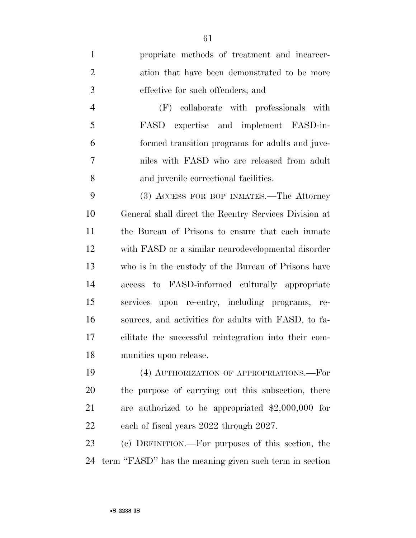propriate methods of treatment and incarcer- ation that have been demonstrated to be more effective for such offenders; and

 (F) collaborate with professionals with FASD expertise and implement FASD-in- formed transition programs for adults and juve- niles with FASD who are released from adult and juvenile correctional facilities.

 (3) ACCESS FOR BOP INMATES.—The Attorney General shall direct the Reentry Services Division at the Bureau of Prisons to ensure that each inmate with FASD or a similar neurodevelopmental disorder who is in the custody of the Bureau of Prisons have access to FASD-informed culturally appropriate services upon re-entry, including programs, re- sources, and activities for adults with FASD, to fa- cilitate the successful reintegration into their com-munities upon release.

 (4) AUTHORIZATION OF APPROPRIATIONS.—For the purpose of carrying out this subsection, there are authorized to be appropriated \$2,000,000 for each of fiscal years 2022 through 2027.

 (c) DEFINITION.—For purposes of this section, the term ''FASD'' has the meaning given such term in section